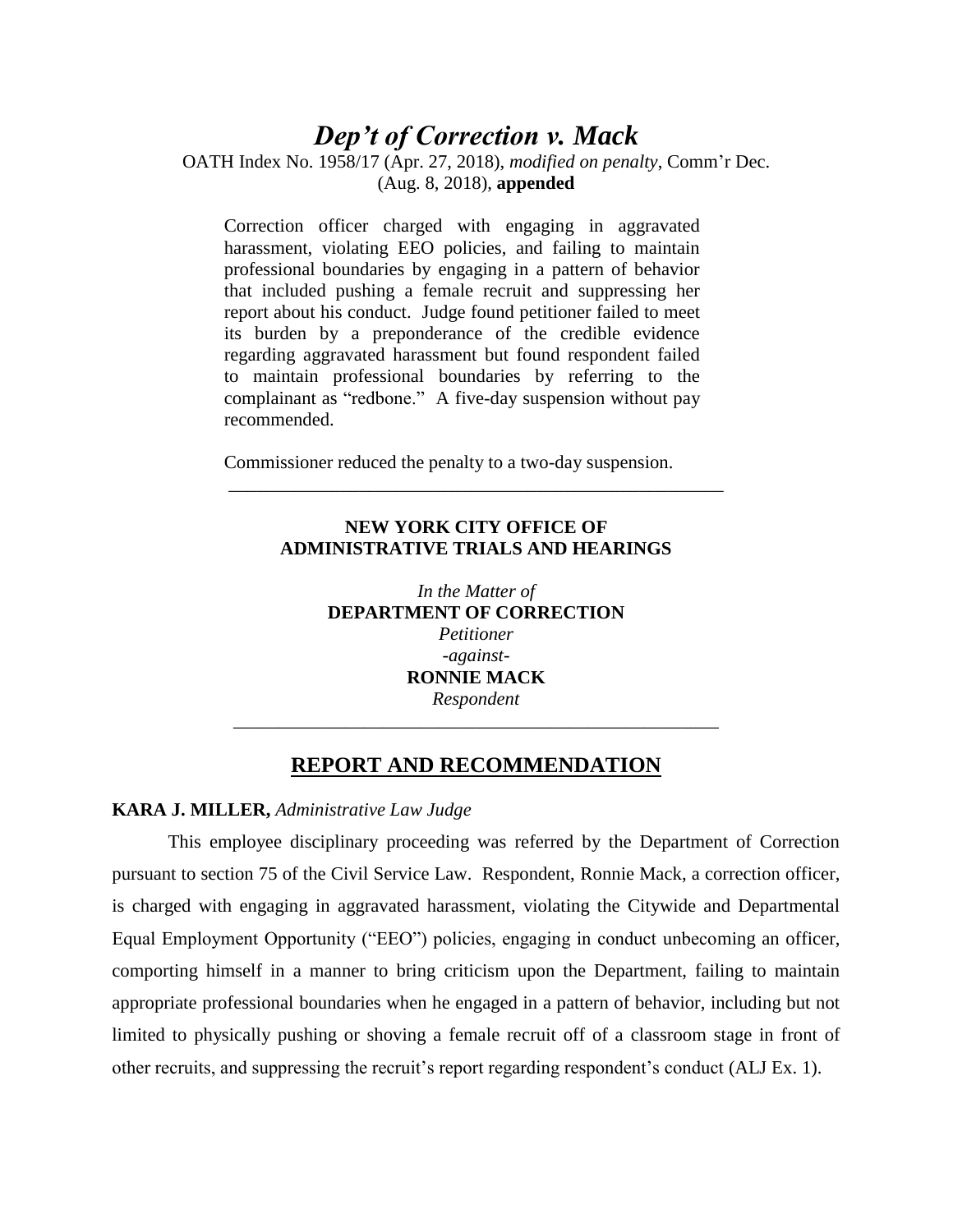# *Dep't of Correction v. Mack*

OATH Index No. 1958/17 (Apr. 27, 2018), *modified on penalty*, Comm'r Dec. (Aug. 8, 2018), **appended**

Correction officer charged with engaging in aggravated harassment, violating EEO policies, and failing to maintain professional boundaries by engaging in a pattern of behavior that included pushing a female recruit and suppressing her report about his conduct. Judge found petitioner failed to meet its burden by a preponderance of the credible evidence regarding aggravated harassment but found respondent failed to maintain professional boundaries by referring to the complainant as "redbone." A five-day suspension without pay recommended.

Commissioner reduced the penalty to a two-day suspension.

# **NEW YORK CITY OFFICE OF ADMINISTRATIVE TRIALS AND HEARINGS**

\_\_\_\_\_\_\_\_\_\_\_\_\_\_\_\_\_\_\_\_\_\_\_\_\_\_\_\_\_\_\_\_\_\_\_\_\_\_\_\_\_\_\_\_\_\_\_\_\_\_\_\_\_

*In the Matter of* **DEPARTMENT OF CORRECTION** *Petitioner -against-***RONNIE MACK** *Respondent*

# **REPORT AND RECOMMENDATION**

*\_\_\_\_\_\_\_\_\_\_\_\_\_\_\_\_\_\_\_\_\_\_\_\_\_\_\_\_\_\_\_\_\_\_\_\_\_\_\_\_\_\_\_\_\_\_\_\_\_\_\_\_*

# **KARA J. MILLER,** *Administrative Law Judge*

This employee disciplinary proceeding was referred by the Department of Correction pursuant to section 75 of the Civil Service Law. Respondent, Ronnie Mack, a correction officer, is charged with engaging in aggravated harassment, violating the Citywide and Departmental Equal Employment Opportunity ("EEO") policies, engaging in conduct unbecoming an officer, comporting himself in a manner to bring criticism upon the Department, failing to maintain appropriate professional boundaries when he engaged in a pattern of behavior, including but not limited to physically pushing or shoving a female recruit off of a classroom stage in front of other recruits, and suppressing the recruit's report regarding respondent's conduct (ALJ Ex. 1).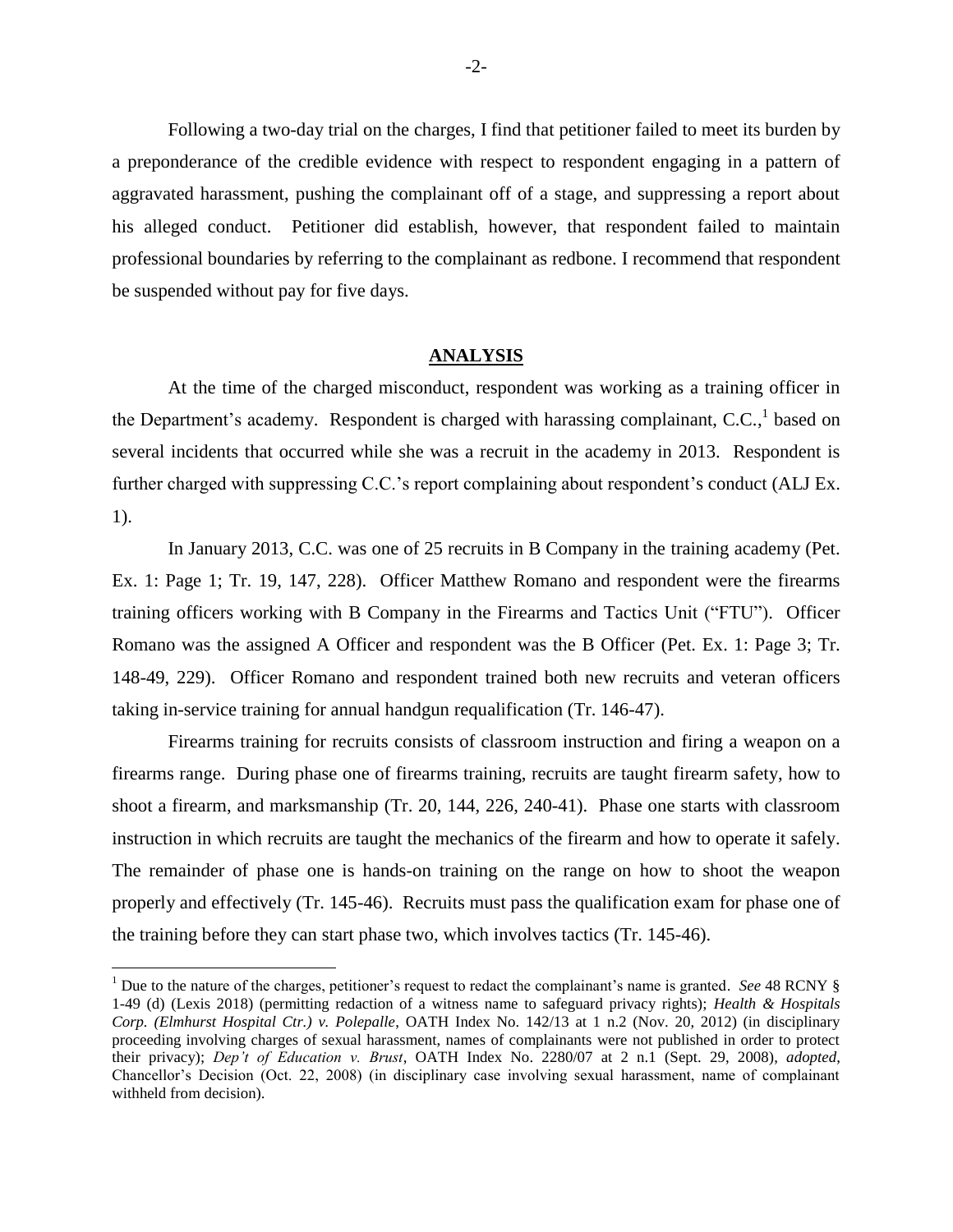Following a two-day trial on the charges, I find that petitioner failed to meet its burden by a preponderance of the credible evidence with respect to respondent engaging in a pattern of aggravated harassment, pushing the complainant off of a stage, and suppressing a report about his alleged conduct. Petitioner did establish, however, that respondent failed to maintain professional boundaries by referring to the complainant as redbone. I recommend that respondent be suspended without pay for five days.

#### **ANALYSIS**

At the time of the charged misconduct, respondent was working as a training officer in the Department's academy. Respondent is charged with harassing complainant, C.C., based on several incidents that occurred while she was a recruit in the academy in 2013. Respondent is further charged with suppressing C.C.'s report complaining about respondent's conduct (ALJ Ex. 1).

In January 2013, C.C. was one of 25 recruits in B Company in the training academy (Pet. Ex. 1: Page 1; Tr. 19, 147, 228). Officer Matthew Romano and respondent were the firearms training officers working with B Company in the Firearms and Tactics Unit ("FTU"). Officer Romano was the assigned A Officer and respondent was the B Officer (Pet. Ex. 1: Page 3; Tr. 148-49, 229). Officer Romano and respondent trained both new recruits and veteran officers taking in-service training for annual handgun requalification (Tr. 146-47).

Firearms training for recruits consists of classroom instruction and firing a weapon on a firearms range. During phase one of firearms training, recruits are taught firearm safety, how to shoot a firearm, and marksmanship (Tr. 20, 144, 226, 240-41). Phase one starts with classroom instruction in which recruits are taught the mechanics of the firearm and how to operate it safely. The remainder of phase one is hands-on training on the range on how to shoot the weapon properly and effectively (Tr. 145-46). Recruits must pass the qualification exam for phase one of the training before they can start phase two, which involves tactics (Tr. 145-46).

 $\overline{a}$ 

<sup>&</sup>lt;sup>1</sup> Due to the nature of the charges, petitioner's request to redact the complainant's name is granted. *See* 48 RCNY § 1-49 (d) (Lexis 2018) (permitting redaction of a witness name to safeguard privacy rights); *Health & Hospitals Corp. (Elmhurst Hospital Ctr.) v. Polepalle*, OATH Index No. 142/13 at 1 n.2 (Nov. 20, 2012) (in disciplinary proceeding involving charges of sexual harassment, names of complainants were not published in order to protect their privacy); *Dep't of Education v. Brust*, OATH Index No. 2280/07 at 2 n.1 (Sept. 29, 2008), *adopted*, Chancellor's Decision (Oct. 22, 2008) (in disciplinary case involving sexual harassment, name of complainant withheld from decision).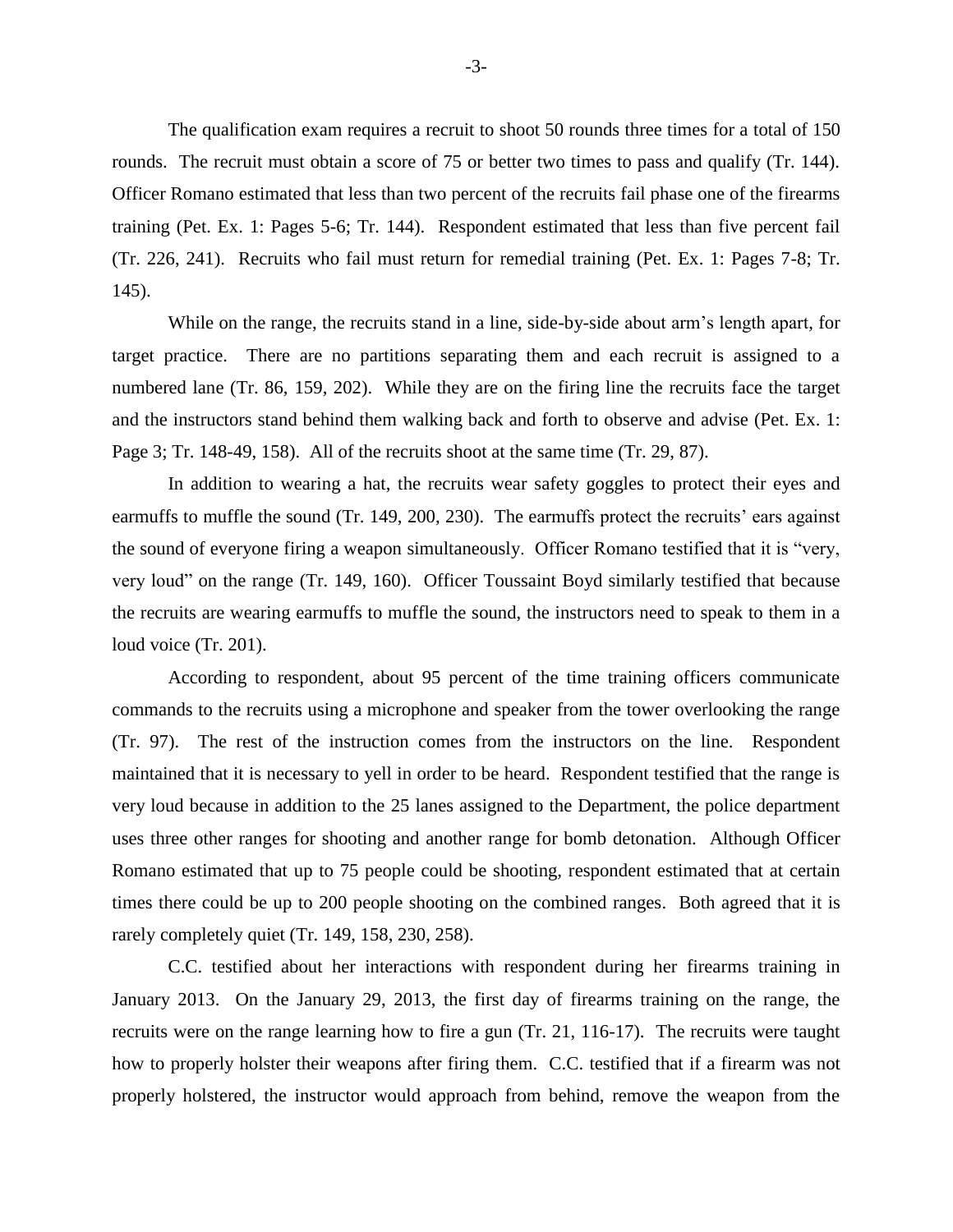The qualification exam requires a recruit to shoot 50 rounds three times for a total of 150 rounds. The recruit must obtain a score of 75 or better two times to pass and qualify (Tr. 144). Officer Romano estimated that less than two percent of the recruits fail phase one of the firearms training (Pet. Ex. 1: Pages 5-6; Tr. 144). Respondent estimated that less than five percent fail (Tr. 226, 241). Recruits who fail must return for remedial training (Pet. Ex. 1: Pages 7-8; Tr. 145).

While on the range, the recruits stand in a line, side-by-side about arm's length apart, for target practice. There are no partitions separating them and each recruit is assigned to a numbered lane (Tr. 86, 159, 202). While they are on the firing line the recruits face the target and the instructors stand behind them walking back and forth to observe and advise (Pet. Ex. 1: Page 3; Tr. 148-49, 158). All of the recruits shoot at the same time (Tr. 29, 87).

In addition to wearing a hat, the recruits wear safety goggles to protect their eyes and earmuffs to muffle the sound (Tr. 149, 200, 230). The earmuffs protect the recruits' ears against the sound of everyone firing a weapon simultaneously. Officer Romano testified that it is "very, very loud" on the range (Tr. 149, 160). Officer Toussaint Boyd similarly testified that because the recruits are wearing earmuffs to muffle the sound, the instructors need to speak to them in a loud voice (Tr. 201).

According to respondent, about 95 percent of the time training officers communicate commands to the recruits using a microphone and speaker from the tower overlooking the range (Tr. 97). The rest of the instruction comes from the instructors on the line. Respondent maintained that it is necessary to yell in order to be heard. Respondent testified that the range is very loud because in addition to the 25 lanes assigned to the Department, the police department uses three other ranges for shooting and another range for bomb detonation. Although Officer Romano estimated that up to 75 people could be shooting, respondent estimated that at certain times there could be up to 200 people shooting on the combined ranges. Both agreed that it is rarely completely quiet (Tr. 149, 158, 230, 258).

C.C. testified about her interactions with respondent during her firearms training in January 2013. On the January 29, 2013, the first day of firearms training on the range, the recruits were on the range learning how to fire a gun (Tr. 21, 116-17). The recruits were taught how to properly holster their weapons after firing them. C.C. testified that if a firearm was not properly holstered, the instructor would approach from behind, remove the weapon from the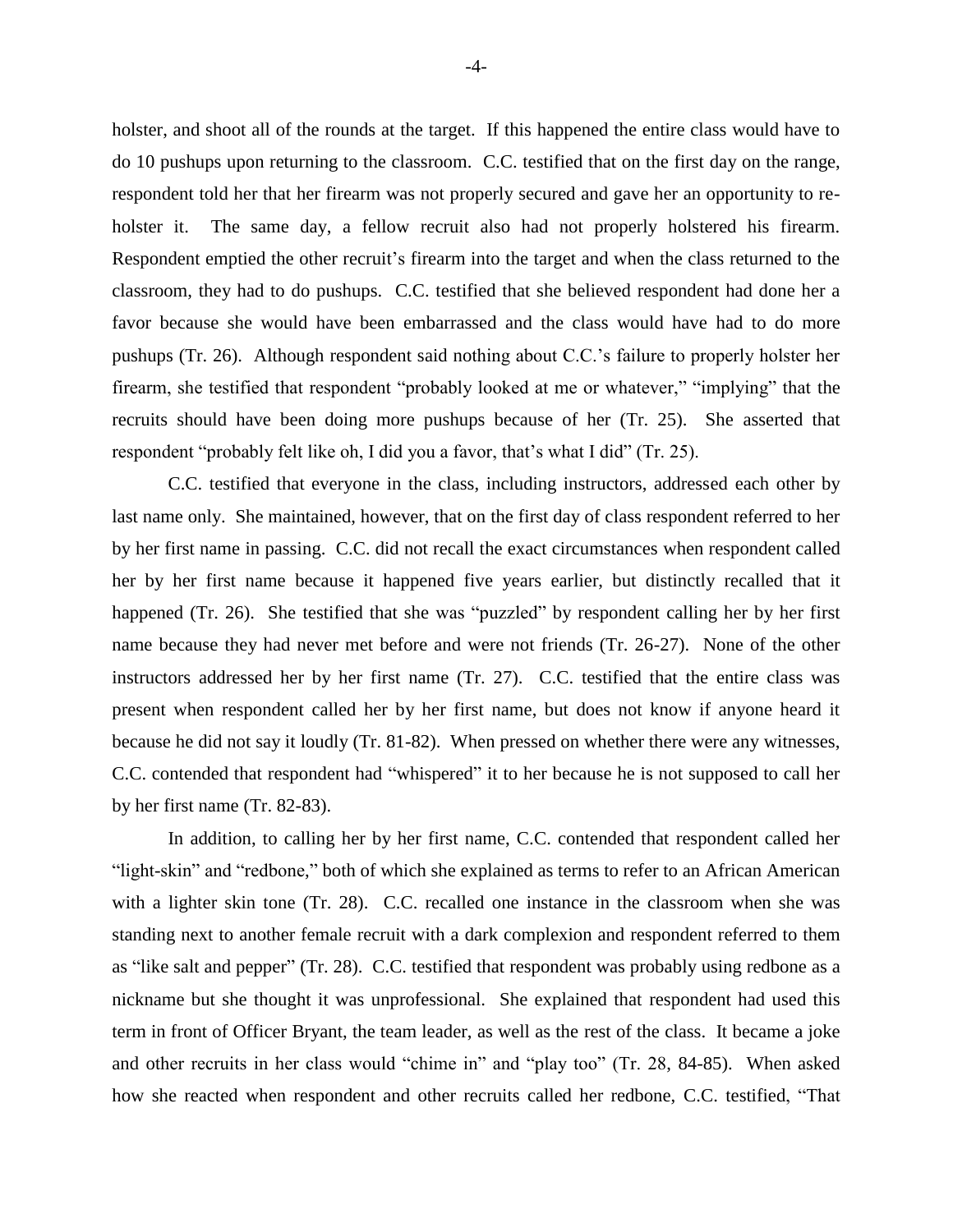holster, and shoot all of the rounds at the target. If this happened the entire class would have to do 10 pushups upon returning to the classroom. C.C. testified that on the first day on the range, respondent told her that her firearm was not properly secured and gave her an opportunity to reholster it. The same day, a fellow recruit also had not properly holstered his firearm. Respondent emptied the other recruit's firearm into the target and when the class returned to the classroom, they had to do pushups. C.C. testified that she believed respondent had done her a favor because she would have been embarrassed and the class would have had to do more pushups (Tr. 26). Although respondent said nothing about C.C.'s failure to properly holster her firearm, she testified that respondent "probably looked at me or whatever," "implying" that the recruits should have been doing more pushups because of her (Tr. 25). She asserted that respondent "probably felt like oh, I did you a favor, that's what I did" (Tr. 25).

C.C. testified that everyone in the class, including instructors, addressed each other by last name only. She maintained, however, that on the first day of class respondent referred to her by her first name in passing. C.C. did not recall the exact circumstances when respondent called her by her first name because it happened five years earlier, but distinctly recalled that it happened (Tr. 26). She testified that she was "puzzled" by respondent calling her by her first name because they had never met before and were not friends (Tr. 26-27). None of the other instructors addressed her by her first name (Tr. 27). C.C. testified that the entire class was present when respondent called her by her first name, but does not know if anyone heard it because he did not say it loudly (Tr. 81-82). When pressed on whether there were any witnesses, C.C. contended that respondent had "whispered" it to her because he is not supposed to call her by her first name (Tr. 82-83).

In addition, to calling her by her first name, C.C. contended that respondent called her "light-skin" and "redbone," both of which she explained as terms to refer to an African American with a lighter skin tone (Tr. 28). C.C. recalled one instance in the classroom when she was standing next to another female recruit with a dark complexion and respondent referred to them as "like salt and pepper" (Tr. 28). C.C. testified that respondent was probably using redbone as a nickname but she thought it was unprofessional. She explained that respondent had used this term in front of Officer Bryant, the team leader, as well as the rest of the class. It became a joke and other recruits in her class would "chime in" and "play too" (Tr. 28, 84-85). When asked how she reacted when respondent and other recruits called her redbone, C.C. testified, "That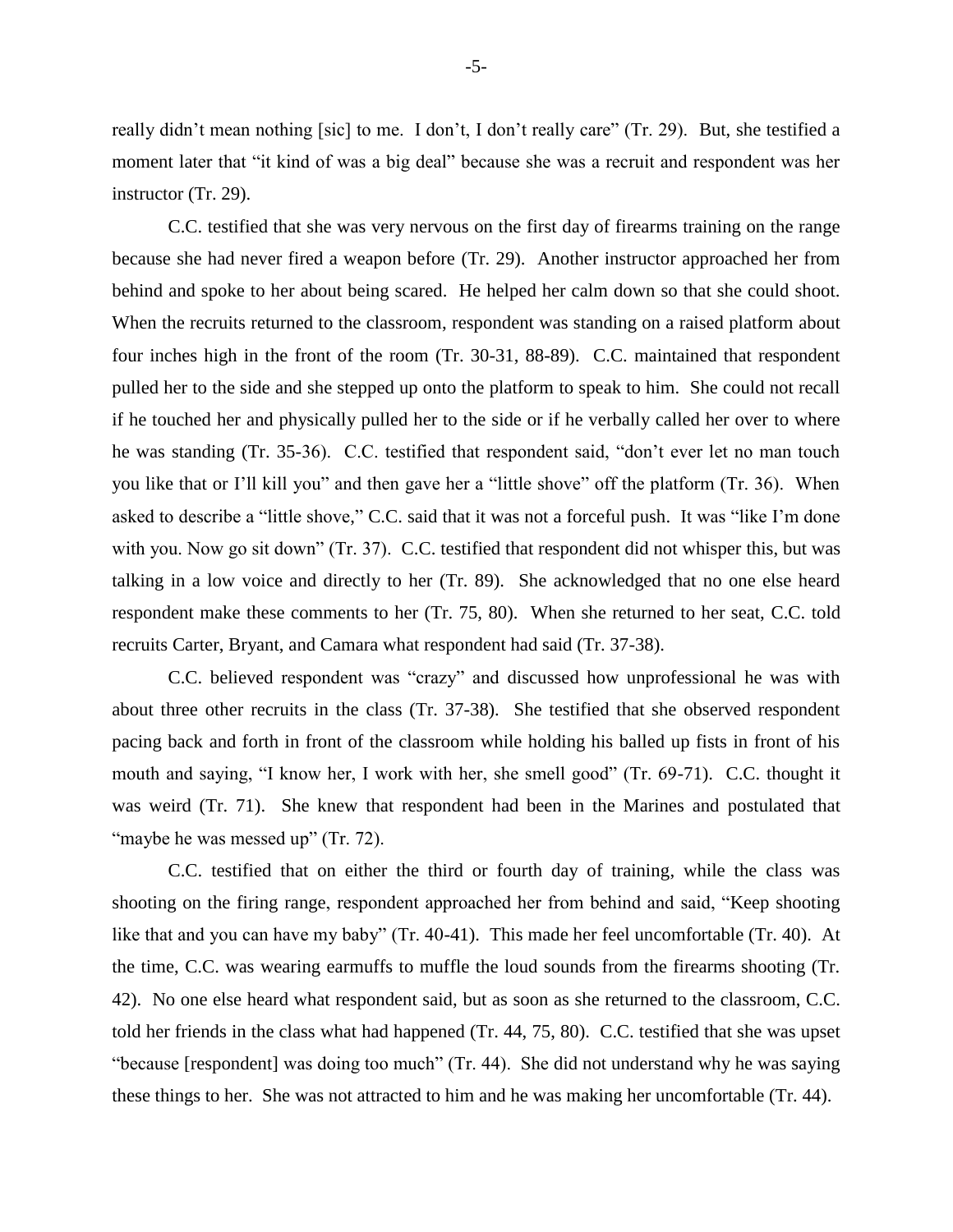really didn't mean nothing [sic] to me. I don't, I don't really care" (Tr. 29). But, she testified a moment later that "it kind of was a big deal" because she was a recruit and respondent was her instructor (Tr. 29).

C.C. testified that she was very nervous on the first day of firearms training on the range because she had never fired a weapon before (Tr. 29). Another instructor approached her from behind and spoke to her about being scared. He helped her calm down so that she could shoot. When the recruits returned to the classroom, respondent was standing on a raised platform about four inches high in the front of the room (Tr. 30-31, 88-89). C.C. maintained that respondent pulled her to the side and she stepped up onto the platform to speak to him. She could not recall if he touched her and physically pulled her to the side or if he verbally called her over to where he was standing (Tr. 35-36). C.C. testified that respondent said, "don't ever let no man touch you like that or I'll kill you" and then gave her a "little shove" off the platform (Tr. 36). When asked to describe a "little shove," C.C. said that it was not a forceful push. It was "like I'm done with you. Now go sit down" (Tr. 37). C.C. testified that respondent did not whisper this, but was talking in a low voice and directly to her (Tr. 89). She acknowledged that no one else heard respondent make these comments to her (Tr. 75, 80). When she returned to her seat, C.C. told recruits Carter, Bryant, and Camara what respondent had said (Tr. 37-38).

C.C. believed respondent was "crazy" and discussed how unprofessional he was with about three other recruits in the class (Tr. 37-38). She testified that she observed respondent pacing back and forth in front of the classroom while holding his balled up fists in front of his mouth and saying, "I know her, I work with her, she smell good" (Tr. 69-71). C.C. thought it was weird (Tr. 71). She knew that respondent had been in the Marines and postulated that "maybe he was messed up" (Tr. 72).

C.C. testified that on either the third or fourth day of training, while the class was shooting on the firing range, respondent approached her from behind and said, "Keep shooting like that and you can have my baby" (Tr. 40-41). This made her feel uncomfortable (Tr. 40). At the time, C.C. was wearing earmuffs to muffle the loud sounds from the firearms shooting (Tr. 42). No one else heard what respondent said, but as soon as she returned to the classroom, C.C. told her friends in the class what had happened (Tr. 44, 75, 80). C.C. testified that she was upset "because [respondent] was doing too much" (Tr. 44). She did not understand why he was saying these things to her. She was not attracted to him and he was making her uncomfortable (Tr. 44).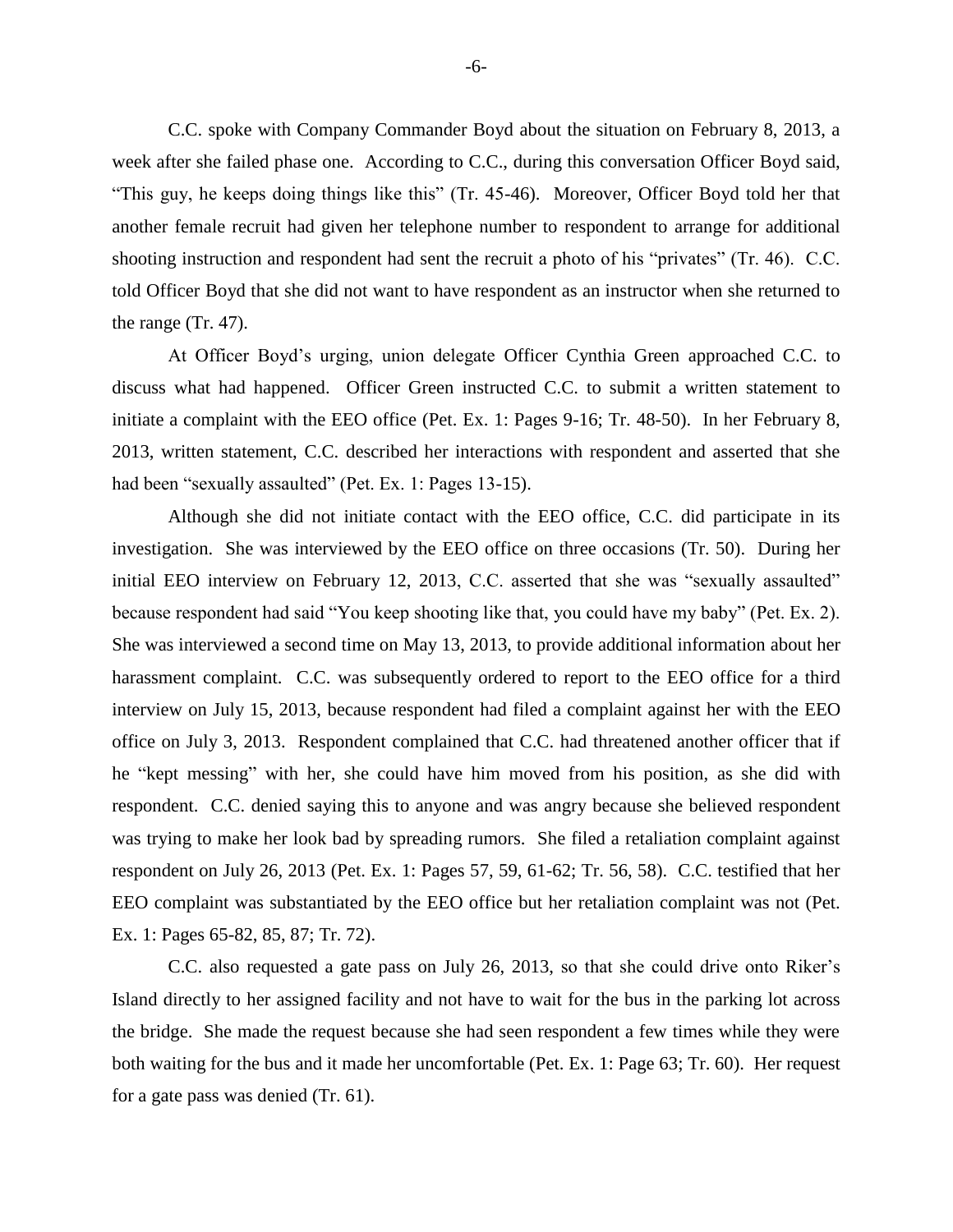C.C. spoke with Company Commander Boyd about the situation on February 8, 2013, a week after she failed phase one. According to C.C., during this conversation Officer Boyd said, "This guy, he keeps doing things like this" (Tr. 45-46). Moreover, Officer Boyd told her that another female recruit had given her telephone number to respondent to arrange for additional shooting instruction and respondent had sent the recruit a photo of his "privates" (Tr. 46). C.C. told Officer Boyd that she did not want to have respondent as an instructor when she returned to the range (Tr. 47).

At Officer Boyd's urging, union delegate Officer Cynthia Green approached C.C. to discuss what had happened. Officer Green instructed C.C. to submit a written statement to initiate a complaint with the EEO office (Pet. Ex. 1: Pages 9-16; Tr. 48-50). In her February 8, 2013, written statement, C.C. described her interactions with respondent and asserted that she had been "sexually assaulted" (Pet. Ex. 1: Pages 13-15).

Although she did not initiate contact with the EEO office, C.C. did participate in its investigation. She was interviewed by the EEO office on three occasions (Tr. 50). During her initial EEO interview on February 12, 2013, C.C. asserted that she was "sexually assaulted" because respondent had said "You keep shooting like that, you could have my baby" (Pet. Ex. 2). She was interviewed a second time on May 13, 2013, to provide additional information about her harassment complaint. C.C. was subsequently ordered to report to the EEO office for a third interview on July 15, 2013, because respondent had filed a complaint against her with the EEO office on July 3, 2013. Respondent complained that C.C. had threatened another officer that if he "kept messing" with her, she could have him moved from his position, as she did with respondent. C.C. denied saying this to anyone and was angry because she believed respondent was trying to make her look bad by spreading rumors. She filed a retaliation complaint against respondent on July 26, 2013 (Pet. Ex. 1: Pages 57, 59, 61-62; Tr. 56, 58). C.C. testified that her EEO complaint was substantiated by the EEO office but her retaliation complaint was not (Pet. Ex. 1: Pages 65-82, 85, 87; Tr. 72).

C.C. also requested a gate pass on July 26, 2013, so that she could drive onto Riker's Island directly to her assigned facility and not have to wait for the bus in the parking lot across the bridge. She made the request because she had seen respondent a few times while they were both waiting for the bus and it made her uncomfortable (Pet. Ex. 1: Page 63; Tr. 60). Her request for a gate pass was denied (Tr. 61).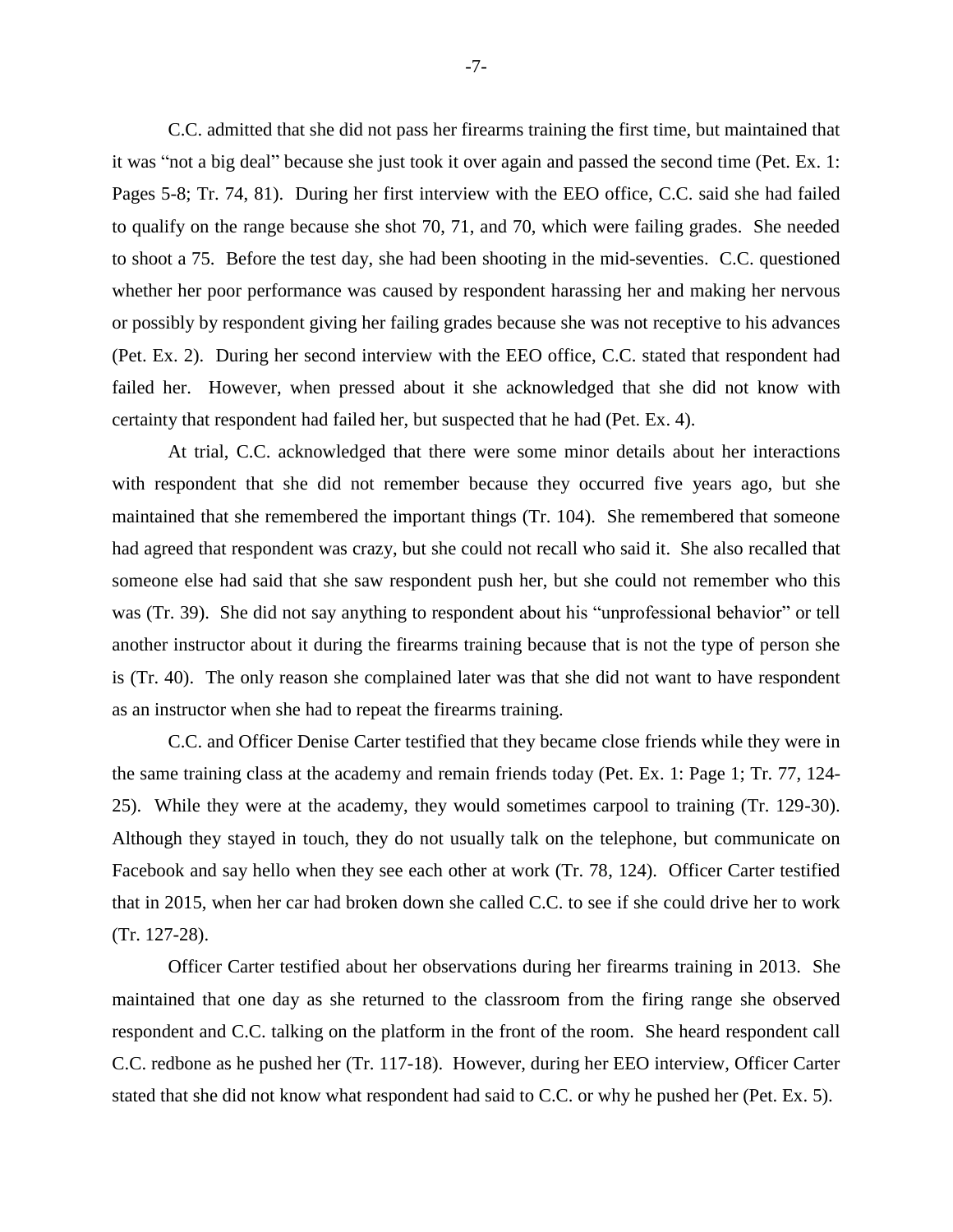C.C. admitted that she did not pass her firearms training the first time, but maintained that it was "not a big deal" because she just took it over again and passed the second time (Pet. Ex. 1: Pages 5-8; Tr. 74, 81). During her first interview with the EEO office, C.C. said she had failed to qualify on the range because she shot 70, 71, and 70, which were failing grades. She needed to shoot a 75. Before the test day, she had been shooting in the mid-seventies. C.C. questioned whether her poor performance was caused by respondent harassing her and making her nervous or possibly by respondent giving her failing grades because she was not receptive to his advances (Pet. Ex. 2). During her second interview with the EEO office, C.C. stated that respondent had failed her. However, when pressed about it she acknowledged that she did not know with certainty that respondent had failed her, but suspected that he had (Pet. Ex. 4).

At trial, C.C. acknowledged that there were some minor details about her interactions with respondent that she did not remember because they occurred five years ago, but she maintained that she remembered the important things (Tr. 104). She remembered that someone had agreed that respondent was crazy, but she could not recall who said it. She also recalled that someone else had said that she saw respondent push her, but she could not remember who this was (Tr. 39). She did not say anything to respondent about his "unprofessional behavior" or tell another instructor about it during the firearms training because that is not the type of person she is (Tr. 40). The only reason she complained later was that she did not want to have respondent as an instructor when she had to repeat the firearms training.

C.C. and Officer Denise Carter testified that they became close friends while they were in the same training class at the academy and remain friends today (Pet. Ex. 1: Page 1; Tr. 77, 124- 25). While they were at the academy, they would sometimes carpool to training (Tr. 129-30). Although they stayed in touch, they do not usually talk on the telephone, but communicate on Facebook and say hello when they see each other at work (Tr. 78, 124). Officer Carter testified that in 2015, when her car had broken down she called C.C. to see if she could drive her to work (Tr. 127-28).

Officer Carter testified about her observations during her firearms training in 2013. She maintained that one day as she returned to the classroom from the firing range she observed respondent and C.C. talking on the platform in the front of the room. She heard respondent call C.C. redbone as he pushed her (Tr. 117-18). However, during her EEO interview, Officer Carter stated that she did not know what respondent had said to C.C. or why he pushed her (Pet. Ex. 5).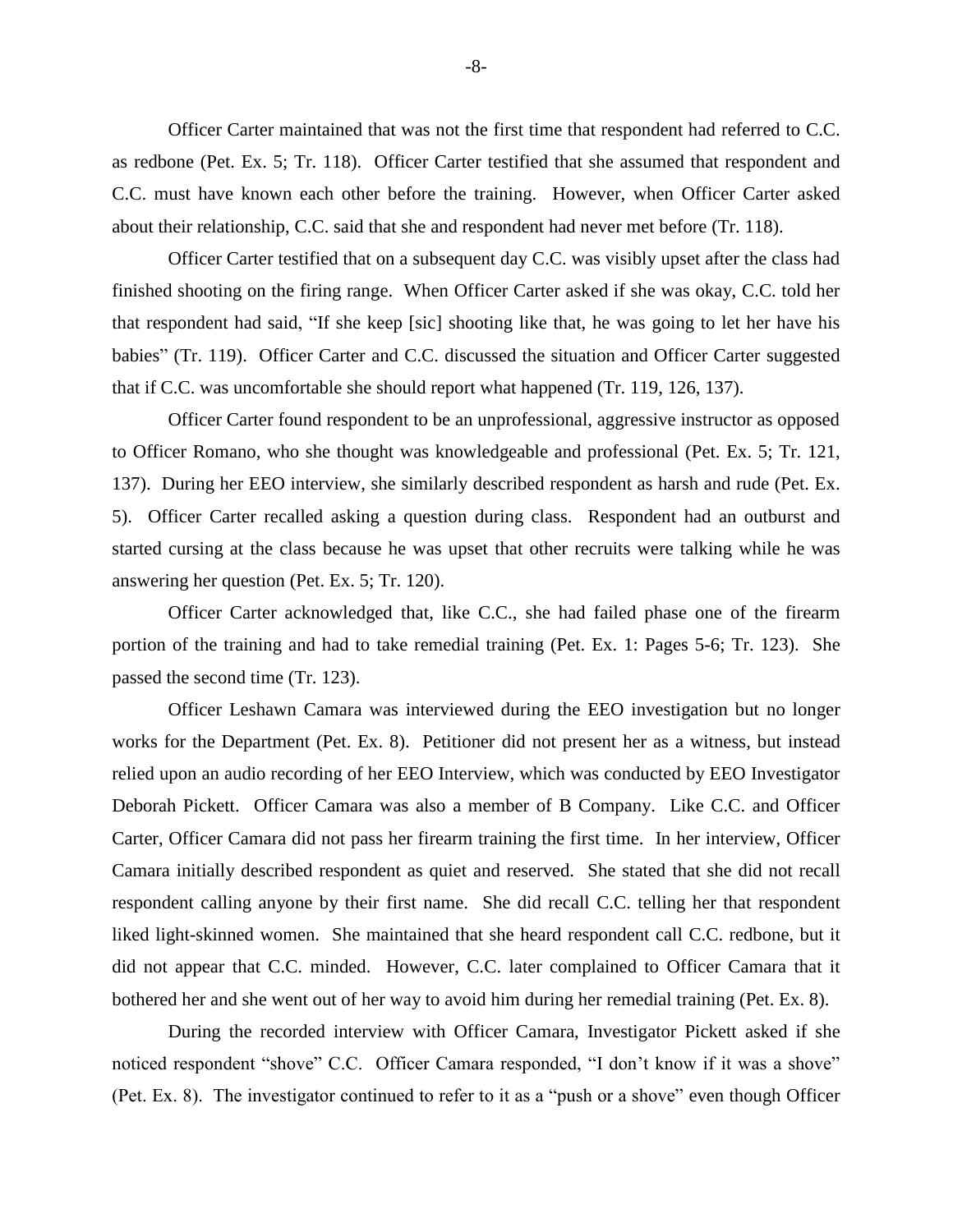Officer Carter maintained that was not the first time that respondent had referred to C.C. as redbone (Pet. Ex. 5; Tr. 118). Officer Carter testified that she assumed that respondent and C.C. must have known each other before the training. However, when Officer Carter asked about their relationship, C.C. said that she and respondent had never met before (Tr. 118).

Officer Carter testified that on a subsequent day C.C. was visibly upset after the class had finished shooting on the firing range. When Officer Carter asked if she was okay, C.C. told her that respondent had said, "If she keep [sic] shooting like that, he was going to let her have his babies" (Tr. 119). Officer Carter and C.C. discussed the situation and Officer Carter suggested that if C.C. was uncomfortable she should report what happened (Tr. 119, 126, 137).

Officer Carter found respondent to be an unprofessional, aggressive instructor as opposed to Officer Romano, who she thought was knowledgeable and professional (Pet. Ex. 5; Tr. 121, 137). During her EEO interview, she similarly described respondent as harsh and rude (Pet. Ex. 5). Officer Carter recalled asking a question during class. Respondent had an outburst and started cursing at the class because he was upset that other recruits were talking while he was answering her question (Pet. Ex. 5; Tr. 120).

Officer Carter acknowledged that, like C.C., she had failed phase one of the firearm portion of the training and had to take remedial training (Pet. Ex. 1: Pages 5-6; Tr. 123). She passed the second time (Tr. 123).

Officer Leshawn Camara was interviewed during the EEO investigation but no longer works for the Department (Pet. Ex. 8). Petitioner did not present her as a witness, but instead relied upon an audio recording of her EEO Interview, which was conducted by EEO Investigator Deborah Pickett. Officer Camara was also a member of B Company. Like C.C. and Officer Carter, Officer Camara did not pass her firearm training the first time. In her interview, Officer Camara initially described respondent as quiet and reserved. She stated that she did not recall respondent calling anyone by their first name. She did recall C.C. telling her that respondent liked light-skinned women. She maintained that she heard respondent call C.C. redbone, but it did not appear that C.C. minded. However, C.C. later complained to Officer Camara that it bothered her and she went out of her way to avoid him during her remedial training (Pet. Ex. 8).

During the recorded interview with Officer Camara, Investigator Pickett asked if she noticed respondent "shove" C.C. Officer Camara responded, "I don't know if it was a shove" (Pet. Ex. 8). The investigator continued to refer to it as a "push or a shove" even though Officer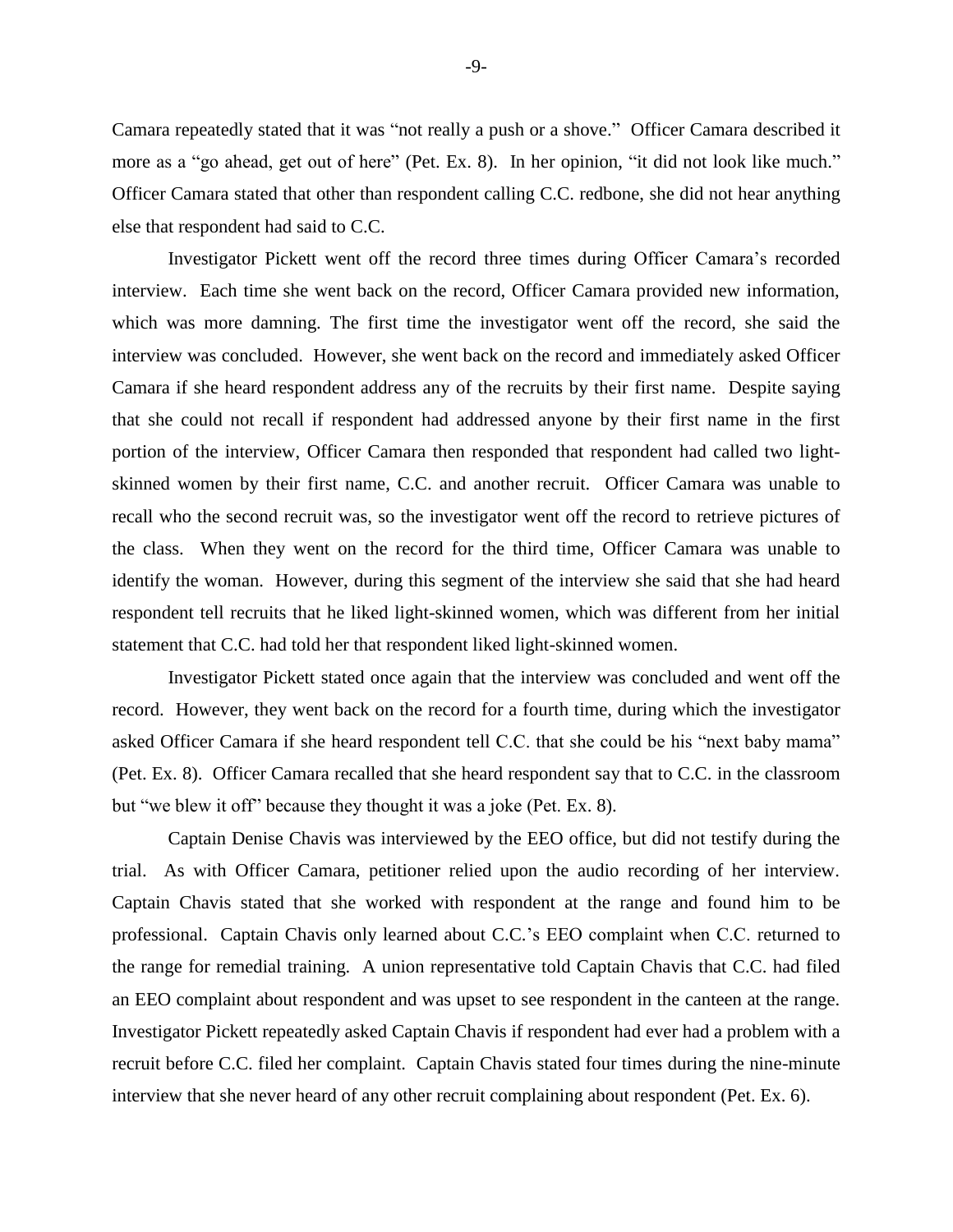Camara repeatedly stated that it was "not really a push or a shove." Officer Camara described it more as a "go ahead, get out of here" (Pet. Ex. 8). In her opinion, "it did not look like much." Officer Camara stated that other than respondent calling C.C. redbone, she did not hear anything else that respondent had said to C.C.

Investigator Pickett went off the record three times during Officer Camara's recorded interview. Each time she went back on the record, Officer Camara provided new information, which was more damning. The first time the investigator went off the record, she said the interview was concluded. However, she went back on the record and immediately asked Officer Camara if she heard respondent address any of the recruits by their first name. Despite saying that she could not recall if respondent had addressed anyone by their first name in the first portion of the interview, Officer Camara then responded that respondent had called two lightskinned women by their first name, C.C. and another recruit. Officer Camara was unable to recall who the second recruit was, so the investigator went off the record to retrieve pictures of the class. When they went on the record for the third time, Officer Camara was unable to identify the woman. However, during this segment of the interview she said that she had heard respondent tell recruits that he liked light-skinned women, which was different from her initial statement that C.C. had told her that respondent liked light-skinned women.

Investigator Pickett stated once again that the interview was concluded and went off the record. However, they went back on the record for a fourth time, during which the investigator asked Officer Camara if she heard respondent tell C.C. that she could be his "next baby mama" (Pet. Ex. 8). Officer Camara recalled that she heard respondent say that to C.C. in the classroom but "we blew it off" because they thought it was a joke (Pet. Ex. 8).

Captain Denise Chavis was interviewed by the EEO office, but did not testify during the trial. As with Officer Camara, petitioner relied upon the audio recording of her interview. Captain Chavis stated that she worked with respondent at the range and found him to be professional. Captain Chavis only learned about C.C.'s EEO complaint when C.C. returned to the range for remedial training. A union representative told Captain Chavis that C.C. had filed an EEO complaint about respondent and was upset to see respondent in the canteen at the range. Investigator Pickett repeatedly asked Captain Chavis if respondent had ever had a problem with a recruit before C.C. filed her complaint. Captain Chavis stated four times during the nine-minute interview that she never heard of any other recruit complaining about respondent (Pet. Ex. 6).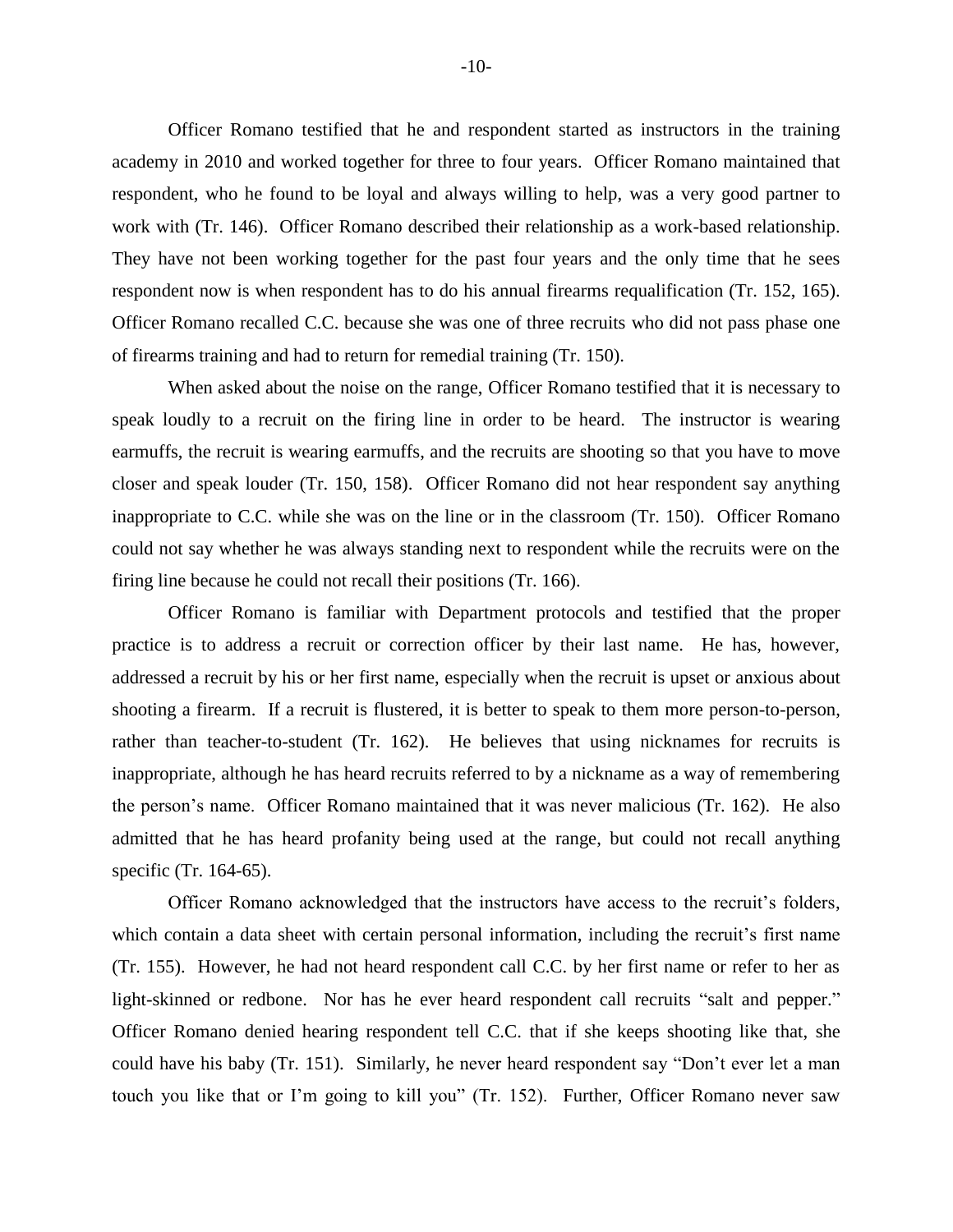Officer Romano testified that he and respondent started as instructors in the training academy in 2010 and worked together for three to four years. Officer Romano maintained that respondent, who he found to be loyal and always willing to help, was a very good partner to work with (Tr. 146). Officer Romano described their relationship as a work-based relationship. They have not been working together for the past four years and the only time that he sees respondent now is when respondent has to do his annual firearms requalification (Tr. 152, 165). Officer Romano recalled C.C. because she was one of three recruits who did not pass phase one of firearms training and had to return for remedial training (Tr. 150).

When asked about the noise on the range, Officer Romano testified that it is necessary to speak loudly to a recruit on the firing line in order to be heard. The instructor is wearing earmuffs, the recruit is wearing earmuffs, and the recruits are shooting so that you have to move closer and speak louder (Tr. 150, 158). Officer Romano did not hear respondent say anything inappropriate to C.C. while she was on the line or in the classroom (Tr. 150). Officer Romano could not say whether he was always standing next to respondent while the recruits were on the firing line because he could not recall their positions (Tr. 166).

Officer Romano is familiar with Department protocols and testified that the proper practice is to address a recruit or correction officer by their last name. He has, however, addressed a recruit by his or her first name, especially when the recruit is upset or anxious about shooting a firearm. If a recruit is flustered, it is better to speak to them more person-to-person, rather than teacher-to-student (Tr. 162). He believes that using nicknames for recruits is inappropriate, although he has heard recruits referred to by a nickname as a way of remembering the person's name. Officer Romano maintained that it was never malicious (Tr. 162). He also admitted that he has heard profanity being used at the range, but could not recall anything specific (Tr. 164-65).

Officer Romano acknowledged that the instructors have access to the recruit's folders, which contain a data sheet with certain personal information, including the recruit's first name (Tr. 155). However, he had not heard respondent call C.C. by her first name or refer to her as light-skinned or redbone. Nor has he ever heard respondent call recruits "salt and pepper." Officer Romano denied hearing respondent tell C.C. that if she keeps shooting like that, she could have his baby (Tr. 151). Similarly, he never heard respondent say "Don't ever let a man touch you like that or I'm going to kill you" (Tr. 152). Further, Officer Romano never saw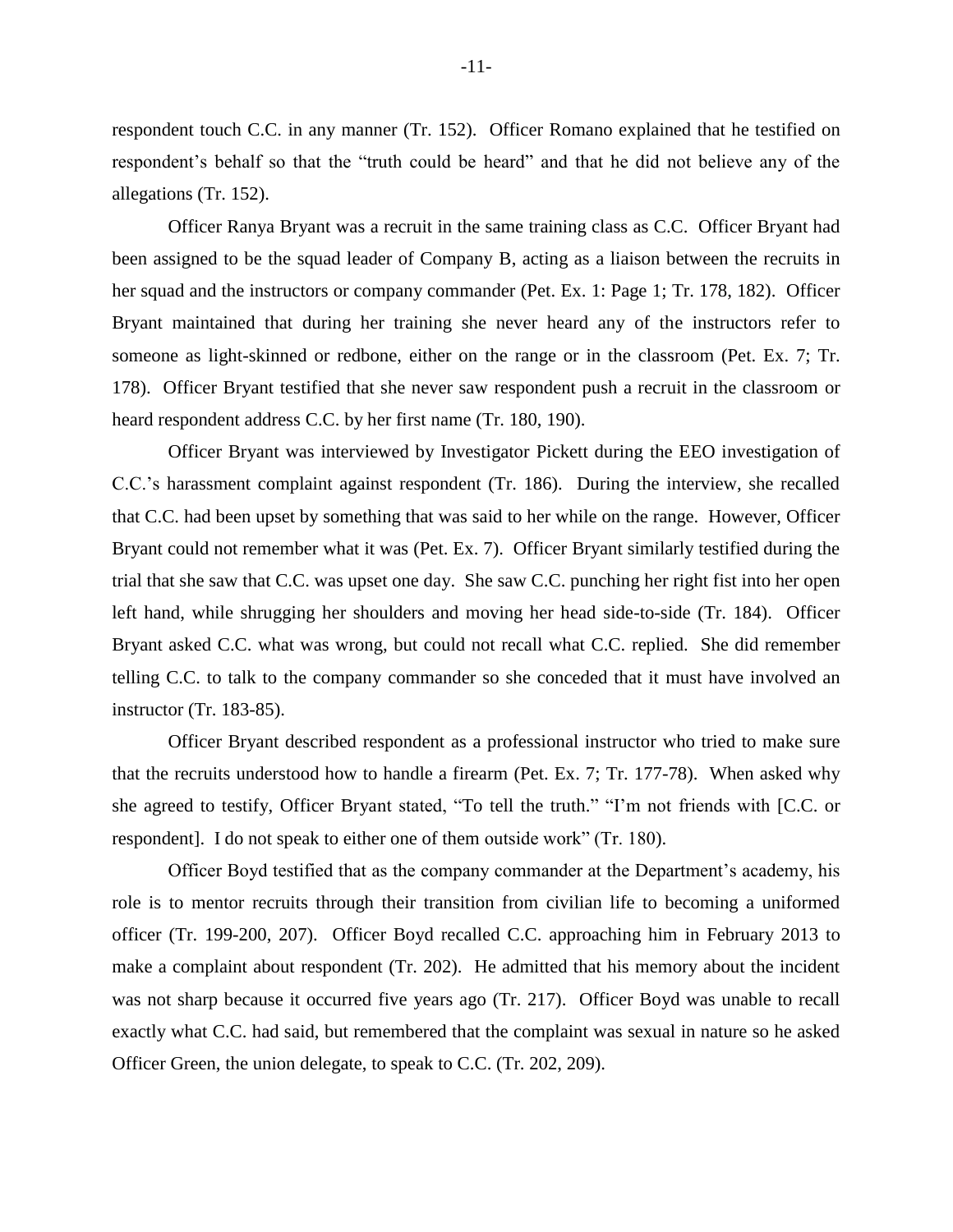respondent touch C.C. in any manner (Tr. 152). Officer Romano explained that he testified on respondent's behalf so that the "truth could be heard" and that he did not believe any of the allegations (Tr. 152).

Officer Ranya Bryant was a recruit in the same training class as C.C. Officer Bryant had been assigned to be the squad leader of Company B, acting as a liaison between the recruits in her squad and the instructors or company commander (Pet. Ex. 1: Page 1; Tr. 178, 182). Officer Bryant maintained that during her training she never heard any of the instructors refer to someone as light-skinned or redbone, either on the range or in the classroom (Pet. Ex. 7; Tr. 178). Officer Bryant testified that she never saw respondent push a recruit in the classroom or heard respondent address C.C. by her first name (Tr. 180, 190).

Officer Bryant was interviewed by Investigator Pickett during the EEO investigation of C.C.'s harassment complaint against respondent (Tr. 186). During the interview, she recalled that C.C. had been upset by something that was said to her while on the range. However, Officer Bryant could not remember what it was (Pet. Ex. 7). Officer Bryant similarly testified during the trial that she saw that C.C. was upset one day. She saw C.C. punching her right fist into her open left hand, while shrugging her shoulders and moving her head side-to-side (Tr. 184). Officer Bryant asked C.C. what was wrong, but could not recall what C.C. replied. She did remember telling C.C. to talk to the company commander so she conceded that it must have involved an instructor (Tr. 183-85).

Officer Bryant described respondent as a professional instructor who tried to make sure that the recruits understood how to handle a firearm (Pet. Ex. 7; Tr. 177-78). When asked why she agreed to testify, Officer Bryant stated, "To tell the truth." "I'm not friends with [C.C. or respondent]. I do not speak to either one of them outside work" (Tr. 180).

Officer Boyd testified that as the company commander at the Department's academy, his role is to mentor recruits through their transition from civilian life to becoming a uniformed officer (Tr. 199-200, 207). Officer Boyd recalled C.C. approaching him in February 2013 to make a complaint about respondent (Tr. 202). He admitted that his memory about the incident was not sharp because it occurred five years ago (Tr. 217). Officer Boyd was unable to recall exactly what C.C. had said, but remembered that the complaint was sexual in nature so he asked Officer Green, the union delegate, to speak to C.C. (Tr. 202, 209).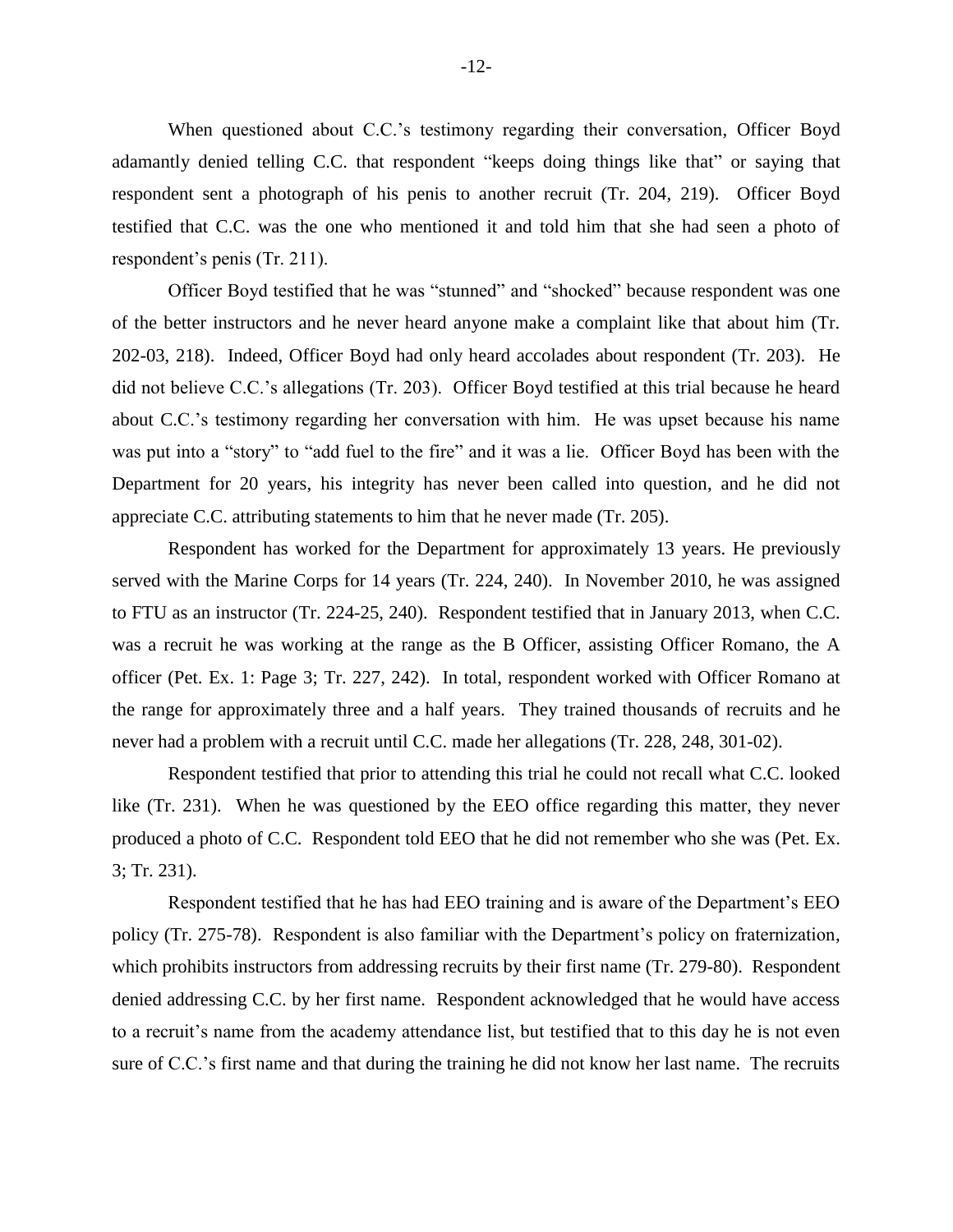When questioned about C.C.'s testimony regarding their conversation, Officer Boyd adamantly denied telling C.C. that respondent "keeps doing things like that" or saying that respondent sent a photograph of his penis to another recruit (Tr. 204, 219). Officer Boyd testified that C.C. was the one who mentioned it and told him that she had seen a photo of respondent's penis (Tr. 211).

Officer Boyd testified that he was "stunned" and "shocked" because respondent was one of the better instructors and he never heard anyone make a complaint like that about him (Tr. 202-03, 218). Indeed, Officer Boyd had only heard accolades about respondent (Tr. 203). He did not believe C.C.'s allegations (Tr. 203). Officer Boyd testified at this trial because he heard about C.C.'s testimony regarding her conversation with him. He was upset because his name was put into a "story" to "add fuel to the fire" and it was a lie. Officer Boyd has been with the Department for 20 years, his integrity has never been called into question, and he did not appreciate C.C. attributing statements to him that he never made (Tr. 205).

Respondent has worked for the Department for approximately 13 years. He previously served with the Marine Corps for 14 years (Tr. 224, 240). In November 2010, he was assigned to FTU as an instructor (Tr. 224-25, 240). Respondent testified that in January 2013, when C.C. was a recruit he was working at the range as the B Officer, assisting Officer Romano, the A officer (Pet. Ex. 1: Page 3; Tr. 227, 242). In total, respondent worked with Officer Romano at the range for approximately three and a half years. They trained thousands of recruits and he never had a problem with a recruit until C.C. made her allegations (Tr. 228, 248, 301-02).

Respondent testified that prior to attending this trial he could not recall what C.C. looked like (Tr. 231). When he was questioned by the EEO office regarding this matter, they never produced a photo of C.C. Respondent told EEO that he did not remember who she was (Pet. Ex. 3; Tr. 231).

Respondent testified that he has had EEO training and is aware of the Department's EEO policy (Tr. 275-78). Respondent is also familiar with the Department's policy on fraternization, which prohibits instructors from addressing recruits by their first name (Tr. 279-80). Respondent denied addressing C.C. by her first name. Respondent acknowledged that he would have access to a recruit's name from the academy attendance list, but testified that to this day he is not even sure of C.C.'s first name and that during the training he did not know her last name. The recruits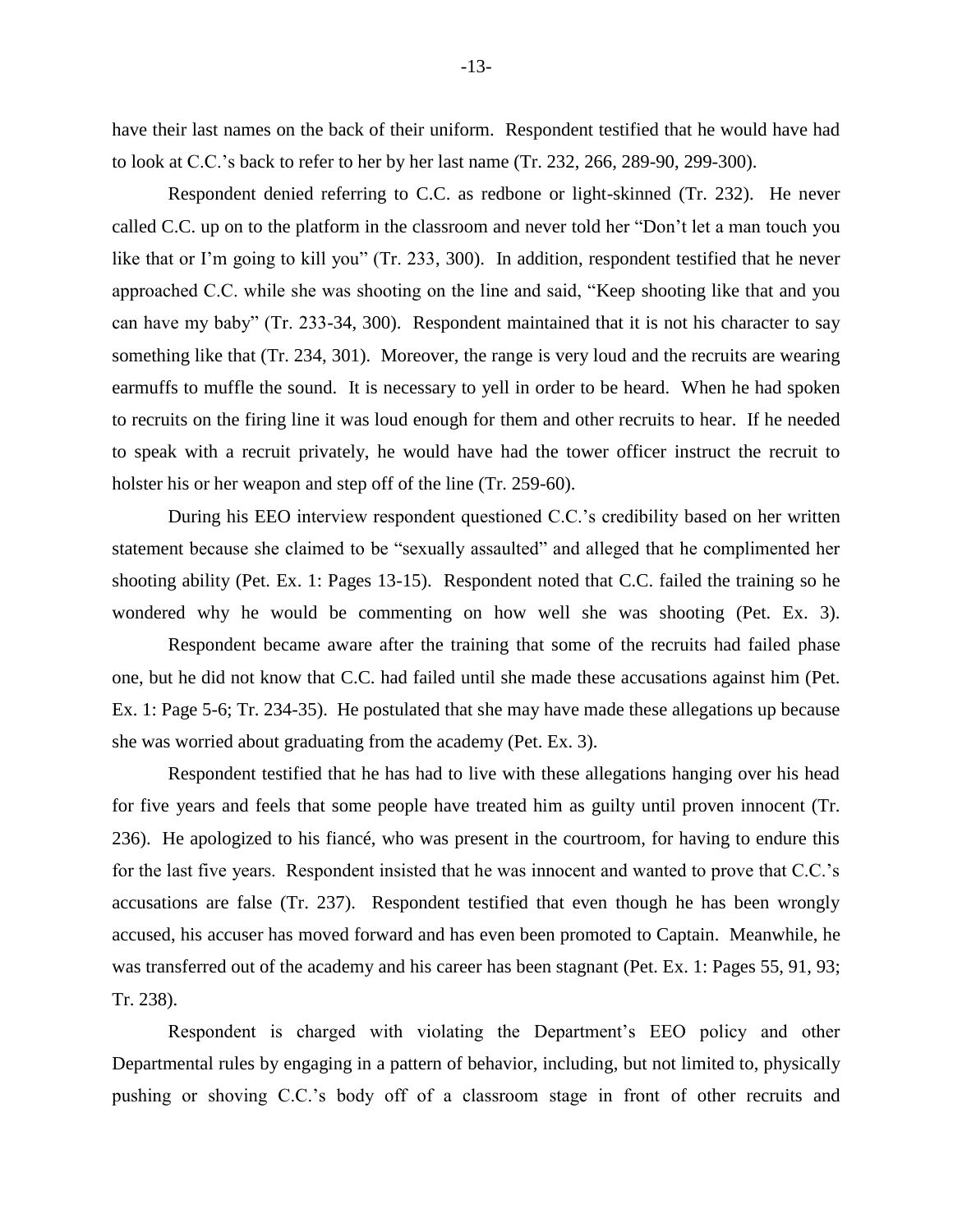have their last names on the back of their uniform. Respondent testified that he would have had to look at C.C.'s back to refer to her by her last name (Tr. 232, 266, 289-90, 299-300).

Respondent denied referring to C.C. as redbone or light-skinned (Tr. 232). He never called C.C. up on to the platform in the classroom and never told her "Don't let a man touch you like that or I'm going to kill you" (Tr. 233, 300). In addition, respondent testified that he never approached C.C. while she was shooting on the line and said, "Keep shooting like that and you can have my baby" (Tr. 233-34, 300). Respondent maintained that it is not his character to say something like that (Tr. 234, 301). Moreover, the range is very loud and the recruits are wearing earmuffs to muffle the sound. It is necessary to yell in order to be heard. When he had spoken to recruits on the firing line it was loud enough for them and other recruits to hear. If he needed to speak with a recruit privately, he would have had the tower officer instruct the recruit to holster his or her weapon and step off of the line (Tr. 259-60).

During his EEO interview respondent questioned C.C.'s credibility based on her written statement because she claimed to be "sexually assaulted" and alleged that he complimented her shooting ability (Pet. Ex. 1: Pages 13-15). Respondent noted that C.C. failed the training so he wondered why he would be commenting on how well she was shooting (Pet. Ex. 3).

Respondent became aware after the training that some of the recruits had failed phase one, but he did not know that C.C. had failed until she made these accusations against him (Pet. Ex. 1: Page 5-6; Tr. 234-35). He postulated that she may have made these allegations up because she was worried about graduating from the academy (Pet. Ex. 3).

Respondent testified that he has had to live with these allegations hanging over his head for five years and feels that some people have treated him as guilty until proven innocent (Tr. 236). He apologized to his fiancé, who was present in the courtroom, for having to endure this for the last five years. Respondent insisted that he was innocent and wanted to prove that C.C.'s accusations are false (Tr. 237). Respondent testified that even though he has been wrongly accused, his accuser has moved forward and has even been promoted to Captain. Meanwhile, he was transferred out of the academy and his career has been stagnant (Pet. Ex. 1: Pages 55, 91, 93; Tr. 238).

Respondent is charged with violating the Department's EEO policy and other Departmental rules by engaging in a pattern of behavior, including, but not limited to, physically pushing or shoving C.C.'s body off of a classroom stage in front of other recruits and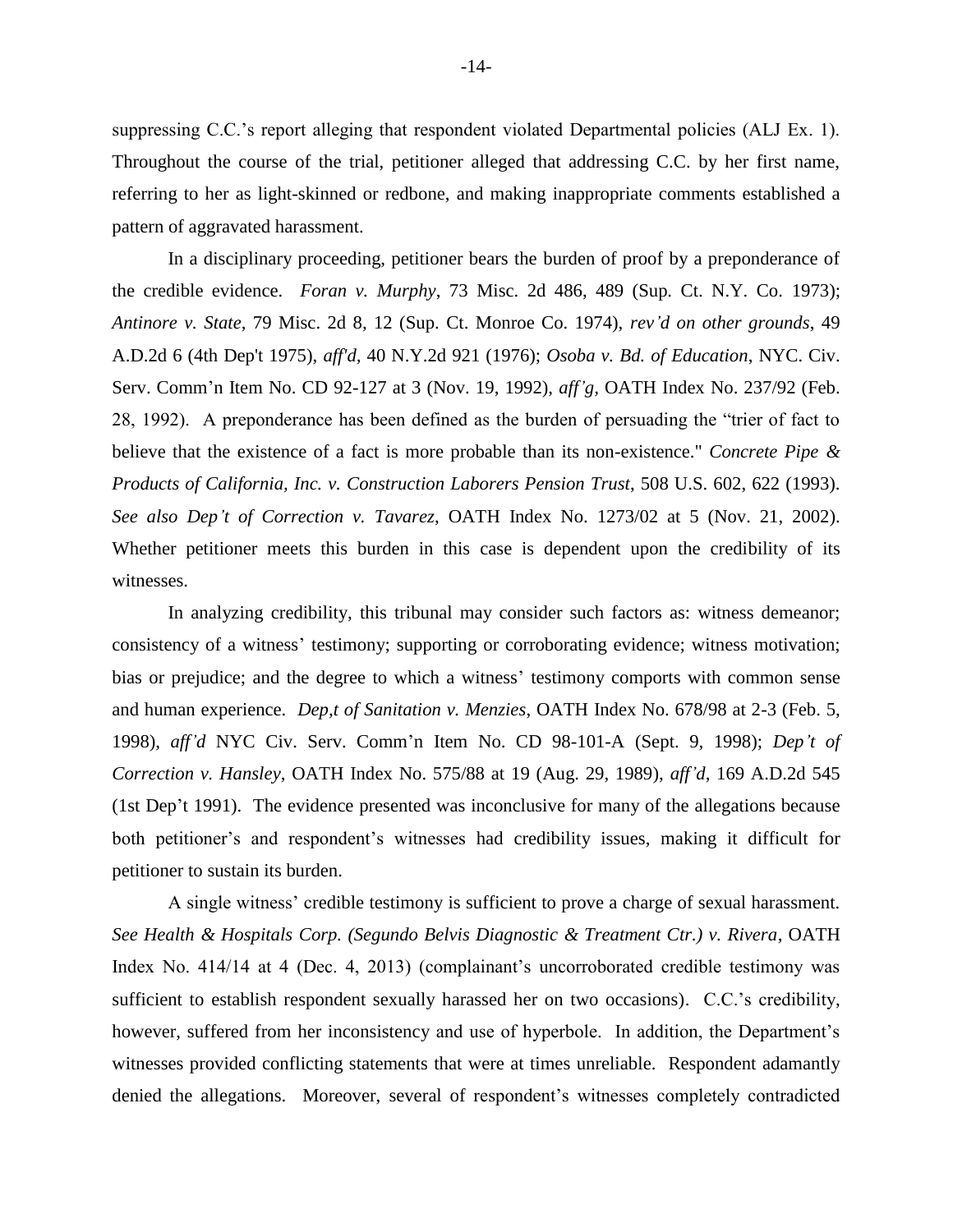suppressing C.C.'s report alleging that respondent violated Departmental policies (ALJ Ex. 1). Throughout the course of the trial, petitioner alleged that addressing C.C. by her first name, referring to her as light-skinned or redbone, and making inappropriate comments established a pattern of aggravated harassment.

In a disciplinary proceeding, petitioner bears the burden of proof by a preponderance of the credible evidence. *Foran v. Murphy*, 73 Misc. 2d 486, 489 (Sup. Ct. N.Y. Co. 1973); *Antinore v. State*, 79 Misc. 2d 8, 12 (Sup. Ct. Monroe Co. 1974), *rev'd on other grounds*, 49 A.D.2d 6 (4th Dep't 1975), *aff'd,* 40 N.Y.2d 921 (1976); *Osoba v. Bd. of Education*, NYC. Civ. Serv. Comm'n Item No. CD 92-127 at 3 (Nov. 19, 1992), *aff'g,* OATH Index No. 237/92 (Feb. 28, 1992). A preponderance has been defined as the burden of persuading the "trier of fact to believe that the existence of a fact is more probable than its non-existence." *Concrete Pipe & Products of California, Inc. v. Construction Laborers Pension Trust*, 508 U.S. 602, 622 (1993). *See also Dep't of Correction v. Tavarez*, OATH Index No. 1273/02 at 5 (Nov. 21, 2002). Whether petitioner meets this burden in this case is dependent upon the credibility of its witnesses.

In analyzing credibility, this tribunal may consider such factors as: witness demeanor; consistency of a witness' testimony; supporting or corroborating evidence; witness motivation; bias or prejudice; and the degree to which a witness' testimony comports with common sense and human experience. *Dep,t of Sanitation v. Menzies*, OATH Index No. 678/98 at 2-3 (Feb. 5, 1998), *aff'd* NYC Civ. Serv. Comm'n Item No. CD 98-101-A (Sept. 9, 1998); *Dep't of Correction v. Hansley*, OATH Index No. 575/88 at 19 (Aug. 29, 1989), *aff'd*, 169 A.D.2d 545 (1st Dep't 1991). The evidence presented was inconclusive for many of the allegations because both petitioner's and respondent's witnesses had credibility issues, making it difficult for petitioner to sustain its burden.

A single witness' credible testimony is sufficient to prove a charge of sexual harassment. *See Health & Hospitals Corp. (Segundo Belvis Diagnostic & Treatment Ctr.) v. Rivera*, OATH Index No. 414/14 at 4 (Dec. 4, 2013) (complainant's uncorroborated credible testimony was sufficient to establish respondent sexually harassed her on two occasions). C.C.'s credibility, however, suffered from her inconsistency and use of hyperbole. In addition, the Department's witnesses provided conflicting statements that were at times unreliable. Respondent adamantly denied the allegations. Moreover, several of respondent's witnesses completely contradicted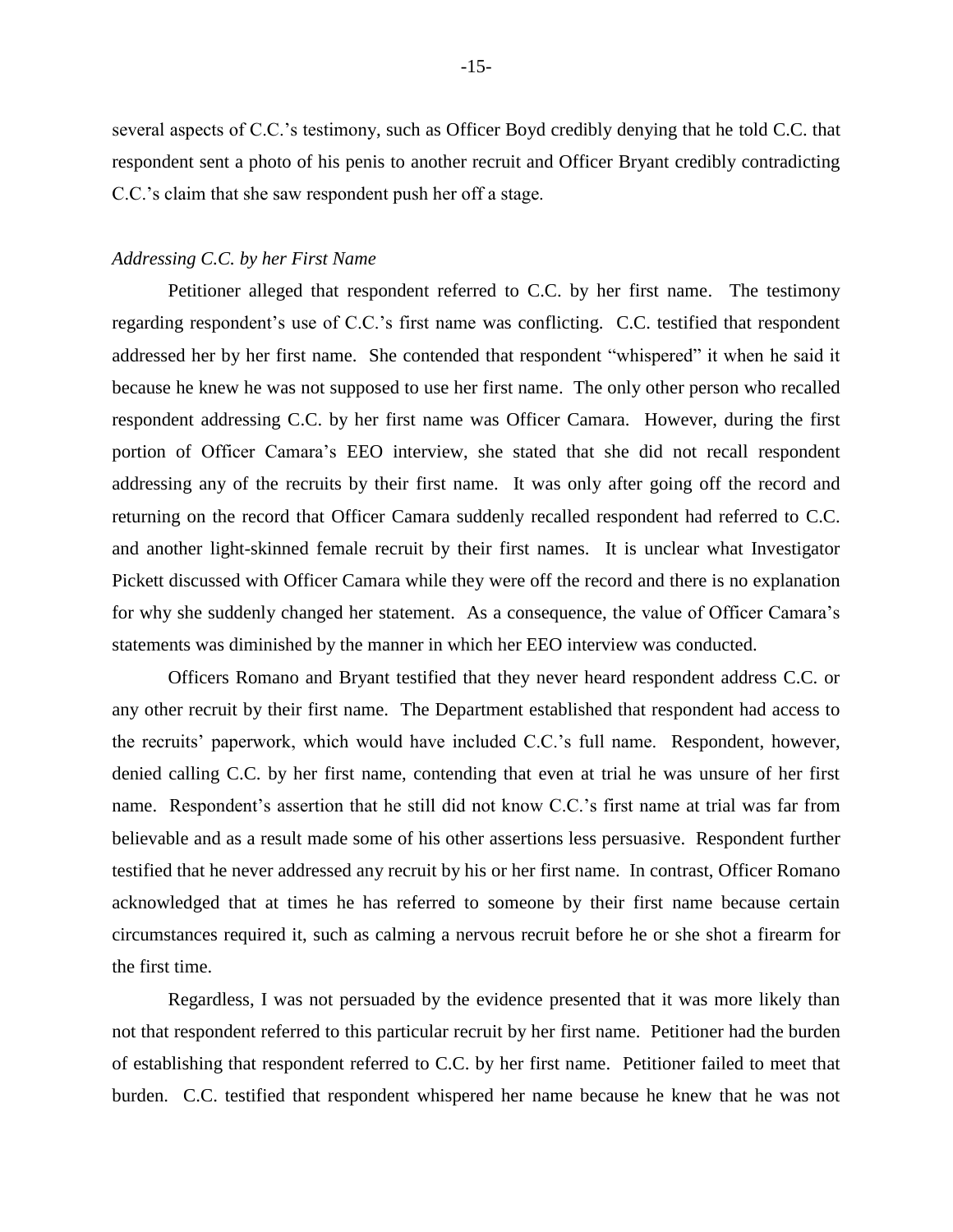several aspects of C.C.'s testimony, such as Officer Boyd credibly denying that he told C.C. that respondent sent a photo of his penis to another recruit and Officer Bryant credibly contradicting C.C.'s claim that she saw respondent push her off a stage.

## *Addressing C.C. by her First Name*

Petitioner alleged that respondent referred to C.C. by her first name. The testimony regarding respondent's use of C.C.'s first name was conflicting. C.C. testified that respondent addressed her by her first name. She contended that respondent "whispered" it when he said it because he knew he was not supposed to use her first name. The only other person who recalled respondent addressing C.C. by her first name was Officer Camara. However, during the first portion of Officer Camara's EEO interview, she stated that she did not recall respondent addressing any of the recruits by their first name. It was only after going off the record and returning on the record that Officer Camara suddenly recalled respondent had referred to C.C. and another light-skinned female recruit by their first names. It is unclear what Investigator Pickett discussed with Officer Camara while they were off the record and there is no explanation for why she suddenly changed her statement. As a consequence, the value of Officer Camara's statements was diminished by the manner in which her EEO interview was conducted.

Officers Romano and Bryant testified that they never heard respondent address C.C. or any other recruit by their first name. The Department established that respondent had access to the recruits' paperwork, which would have included C.C.'s full name. Respondent, however, denied calling C.C. by her first name, contending that even at trial he was unsure of her first name. Respondent's assertion that he still did not know C.C.'s first name at trial was far from believable and as a result made some of his other assertions less persuasive. Respondent further testified that he never addressed any recruit by his or her first name. In contrast, Officer Romano acknowledged that at times he has referred to someone by their first name because certain circumstances required it, such as calming a nervous recruit before he or she shot a firearm for the first time.

Regardless, I was not persuaded by the evidence presented that it was more likely than not that respondent referred to this particular recruit by her first name. Petitioner had the burden of establishing that respondent referred to C.C. by her first name. Petitioner failed to meet that burden. C.C. testified that respondent whispered her name because he knew that he was not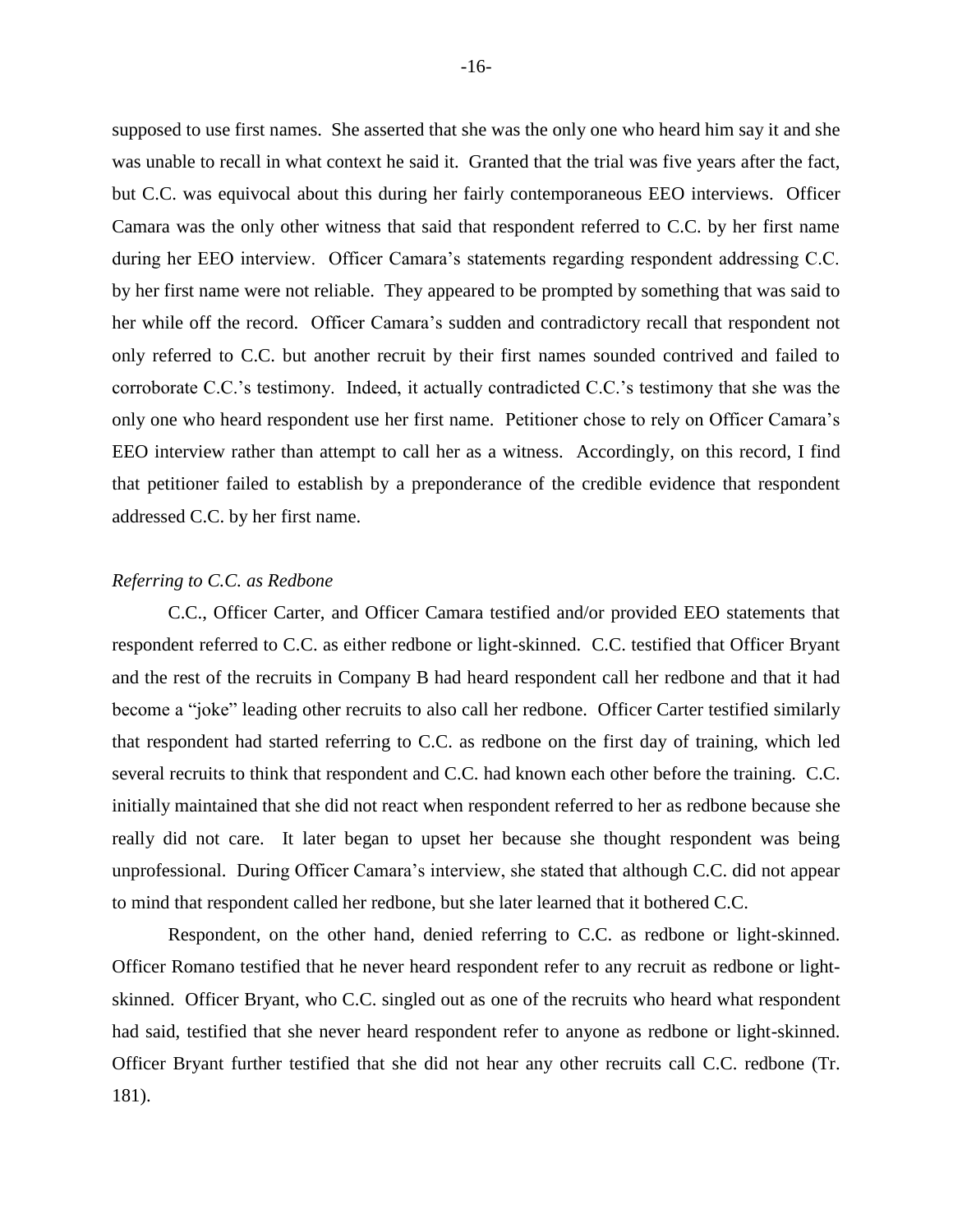supposed to use first names. She asserted that she was the only one who heard him say it and she was unable to recall in what context he said it. Granted that the trial was five years after the fact, but C.C. was equivocal about this during her fairly contemporaneous EEO interviews. Officer Camara was the only other witness that said that respondent referred to C.C. by her first name during her EEO interview. Officer Camara's statements regarding respondent addressing C.C. by her first name were not reliable. They appeared to be prompted by something that was said to her while off the record. Officer Camara's sudden and contradictory recall that respondent not only referred to C.C. but another recruit by their first names sounded contrived and failed to corroborate C.C.'s testimony. Indeed, it actually contradicted C.C.'s testimony that she was the only one who heard respondent use her first name. Petitioner chose to rely on Officer Camara's EEO interview rather than attempt to call her as a witness. Accordingly, on this record, I find that petitioner failed to establish by a preponderance of the credible evidence that respondent addressed C.C. by her first name.

## *Referring to C.C. as Redbone*

C.C., Officer Carter, and Officer Camara testified and/or provided EEO statements that respondent referred to C.C. as either redbone or light-skinned. C.C. testified that Officer Bryant and the rest of the recruits in Company B had heard respondent call her redbone and that it had become a "joke" leading other recruits to also call her redbone. Officer Carter testified similarly that respondent had started referring to C.C. as redbone on the first day of training, which led several recruits to think that respondent and C.C. had known each other before the training. C.C. initially maintained that she did not react when respondent referred to her as redbone because she really did not care. It later began to upset her because she thought respondent was being unprofessional. During Officer Camara's interview, she stated that although C.C. did not appear to mind that respondent called her redbone, but she later learned that it bothered C.C.

Respondent, on the other hand, denied referring to C.C. as redbone or light-skinned. Officer Romano testified that he never heard respondent refer to any recruit as redbone or lightskinned. Officer Bryant, who C.C. singled out as one of the recruits who heard what respondent had said, testified that she never heard respondent refer to anyone as redbone or light-skinned. Officer Bryant further testified that she did not hear any other recruits call C.C. redbone (Tr. 181).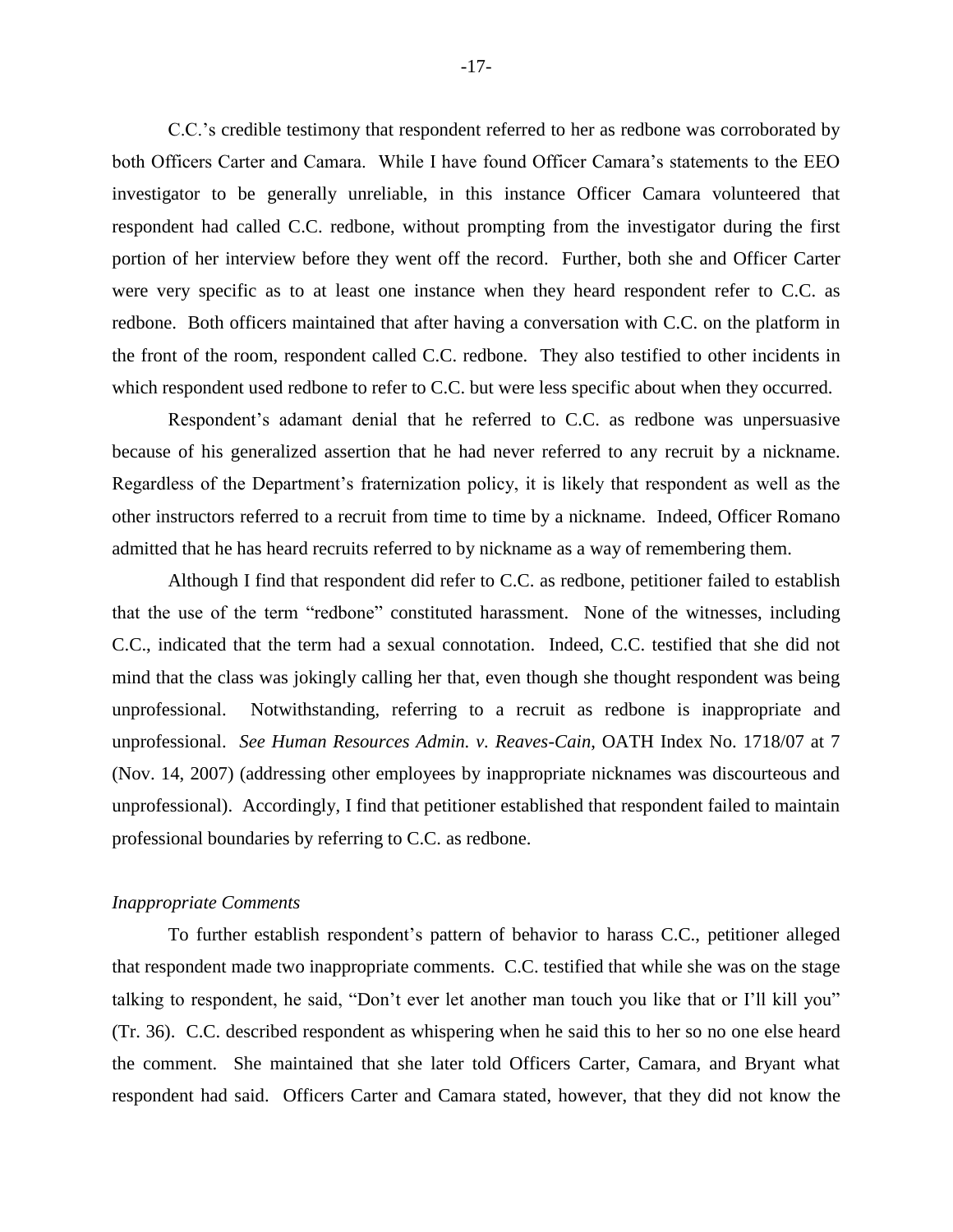C.C.'s credible testimony that respondent referred to her as redbone was corroborated by both Officers Carter and Camara. While I have found Officer Camara's statements to the EEO investigator to be generally unreliable, in this instance Officer Camara volunteered that respondent had called C.C. redbone, without prompting from the investigator during the first portion of her interview before they went off the record. Further, both she and Officer Carter were very specific as to at least one instance when they heard respondent refer to C.C. as redbone. Both officers maintained that after having a conversation with C.C. on the platform in the front of the room, respondent called C.C. redbone. They also testified to other incidents in which respondent used redbone to refer to C.C. but were less specific about when they occurred.

Respondent's adamant denial that he referred to C.C. as redbone was unpersuasive because of his generalized assertion that he had never referred to any recruit by a nickname. Regardless of the Department's fraternization policy, it is likely that respondent as well as the other instructors referred to a recruit from time to time by a nickname. Indeed, Officer Romano admitted that he has heard recruits referred to by nickname as a way of remembering them.

Although I find that respondent did refer to C.C. as redbone, petitioner failed to establish that the use of the term "redbone" constituted harassment. None of the witnesses, including C.C., indicated that the term had a sexual connotation. Indeed, C.C. testified that she did not mind that the class was jokingly calling her that, even though she thought respondent was being unprofessional. Notwithstanding, referring to a recruit as redbone is inappropriate and unprofessional. *See Human Resources Admin. v. Reaves-Cain*, OATH Index No. 1718/07 at 7 (Nov. 14, 2007) (addressing other employees by inappropriate nicknames was discourteous and unprofessional). Accordingly, I find that petitioner established that respondent failed to maintain professional boundaries by referring to C.C. as redbone.

#### *Inappropriate Comments*

To further establish respondent's pattern of behavior to harass C.C., petitioner alleged that respondent made two inappropriate comments. C.C. testified that while she was on the stage talking to respondent, he said, "Don't ever let another man touch you like that or I'll kill you" (Tr. 36). C.C. described respondent as whispering when he said this to her so no one else heard the comment. She maintained that she later told Officers Carter, Camara, and Bryant what respondent had said. Officers Carter and Camara stated, however, that they did not know the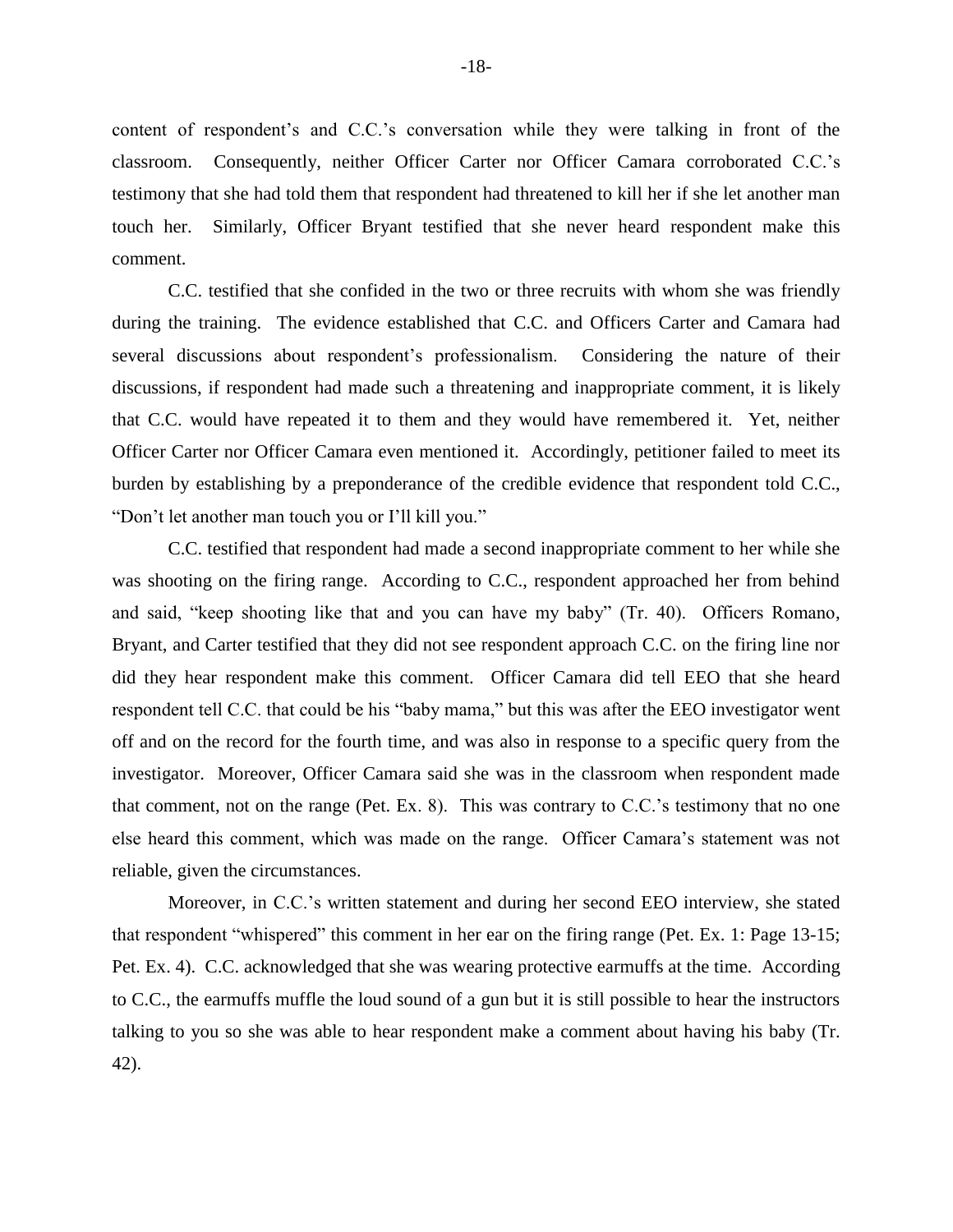content of respondent's and C.C.'s conversation while they were talking in front of the classroom. Consequently, neither Officer Carter nor Officer Camara corroborated C.C.'s testimony that she had told them that respondent had threatened to kill her if she let another man touch her. Similarly, Officer Bryant testified that she never heard respondent make this comment.

C.C. testified that she confided in the two or three recruits with whom she was friendly during the training. The evidence established that C.C. and Officers Carter and Camara had several discussions about respondent's professionalism. Considering the nature of their discussions, if respondent had made such a threatening and inappropriate comment, it is likely that C.C. would have repeated it to them and they would have remembered it. Yet, neither Officer Carter nor Officer Camara even mentioned it. Accordingly, petitioner failed to meet its burden by establishing by a preponderance of the credible evidence that respondent told C.C., "Don't let another man touch you or I'll kill you."

C.C. testified that respondent had made a second inappropriate comment to her while she was shooting on the firing range. According to C.C., respondent approached her from behind and said, "keep shooting like that and you can have my baby" (Tr. 40). Officers Romano, Bryant, and Carter testified that they did not see respondent approach C.C. on the firing line nor did they hear respondent make this comment. Officer Camara did tell EEO that she heard respondent tell C.C. that could be his "baby mama," but this was after the EEO investigator went off and on the record for the fourth time, and was also in response to a specific query from the investigator. Moreover, Officer Camara said she was in the classroom when respondent made that comment, not on the range (Pet. Ex. 8). This was contrary to C.C.'s testimony that no one else heard this comment, which was made on the range. Officer Camara's statement was not reliable, given the circumstances.

Moreover, in C.C.'s written statement and during her second EEO interview, she stated that respondent "whispered" this comment in her ear on the firing range (Pet. Ex. 1: Page 13-15; Pet. Ex. 4). C.C. acknowledged that she was wearing protective earmuffs at the time. According to C.C., the earmuffs muffle the loud sound of a gun but it is still possible to hear the instructors talking to you so she was able to hear respondent make a comment about having his baby (Tr. 42).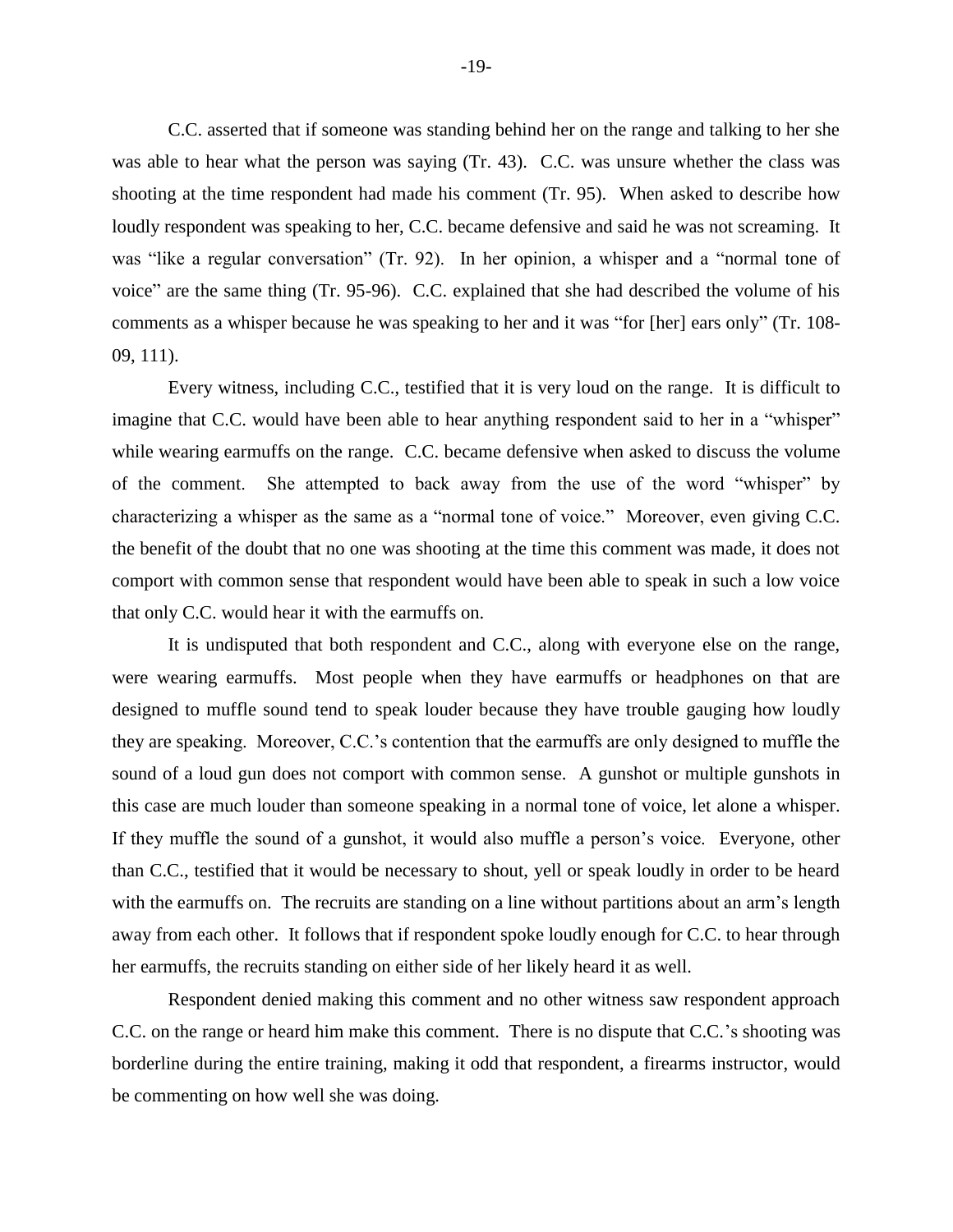C.C. asserted that if someone was standing behind her on the range and talking to her she was able to hear what the person was saying (Tr. 43). C.C. was unsure whether the class was shooting at the time respondent had made his comment (Tr. 95). When asked to describe how loudly respondent was speaking to her, C.C. became defensive and said he was not screaming. It was "like a regular conversation" (Tr. 92). In her opinion, a whisper and a "normal tone of voice" are the same thing (Tr. 95-96). C.C. explained that she had described the volume of his comments as a whisper because he was speaking to her and it was "for [her] ears only" (Tr. 108- 09, 111).

Every witness, including C.C., testified that it is very loud on the range. It is difficult to imagine that C.C. would have been able to hear anything respondent said to her in a "whisper" while wearing earmuffs on the range. C.C. became defensive when asked to discuss the volume of the comment. She attempted to back away from the use of the word "whisper" by characterizing a whisper as the same as a "normal tone of voice." Moreover, even giving C.C. the benefit of the doubt that no one was shooting at the time this comment was made, it does not comport with common sense that respondent would have been able to speak in such a low voice that only C.C. would hear it with the earmuffs on.

It is undisputed that both respondent and C.C., along with everyone else on the range, were wearing earmuffs. Most people when they have earmuffs or headphones on that are designed to muffle sound tend to speak louder because they have trouble gauging how loudly they are speaking. Moreover, C.C.'s contention that the earmuffs are only designed to muffle the sound of a loud gun does not comport with common sense. A gunshot or multiple gunshots in this case are much louder than someone speaking in a normal tone of voice, let alone a whisper. If they muffle the sound of a gunshot, it would also muffle a person's voice. Everyone, other than C.C., testified that it would be necessary to shout, yell or speak loudly in order to be heard with the earmuffs on. The recruits are standing on a line without partitions about an arm's length away from each other. It follows that if respondent spoke loudly enough for C.C. to hear through her earmuffs, the recruits standing on either side of her likely heard it as well.

Respondent denied making this comment and no other witness saw respondent approach C.C. on the range or heard him make this comment. There is no dispute that C.C.'s shooting was borderline during the entire training, making it odd that respondent, a firearms instructor, would be commenting on how well she was doing.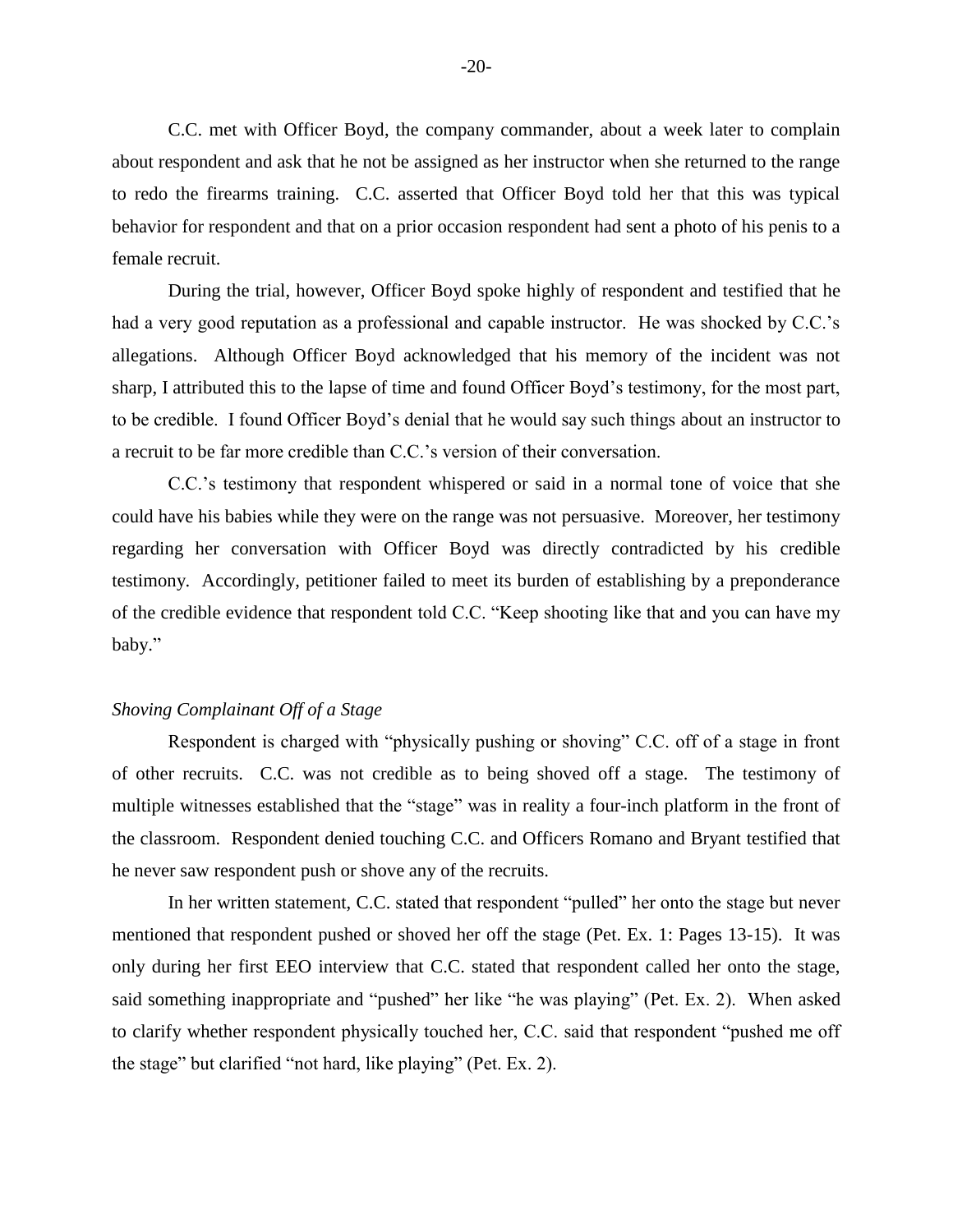C.C. met with Officer Boyd, the company commander, about a week later to complain about respondent and ask that he not be assigned as her instructor when she returned to the range to redo the firearms training. C.C. asserted that Officer Boyd told her that this was typical behavior for respondent and that on a prior occasion respondent had sent a photo of his penis to a female recruit.

During the trial, however, Officer Boyd spoke highly of respondent and testified that he had a very good reputation as a professional and capable instructor. He was shocked by C.C.'s allegations. Although Officer Boyd acknowledged that his memory of the incident was not sharp, I attributed this to the lapse of time and found Officer Boyd's testimony, for the most part, to be credible. I found Officer Boyd's denial that he would say such things about an instructor to a recruit to be far more credible than C.C.'s version of their conversation.

C.C.'s testimony that respondent whispered or said in a normal tone of voice that she could have his babies while they were on the range was not persuasive. Moreover, her testimony regarding her conversation with Officer Boyd was directly contradicted by his credible testimony. Accordingly, petitioner failed to meet its burden of establishing by a preponderance of the credible evidence that respondent told C.C. "Keep shooting like that and you can have my baby."

#### *Shoving Complainant Off of a Stage*

Respondent is charged with "physically pushing or shoving" C.C. off of a stage in front of other recruits. C.C. was not credible as to being shoved off a stage. The testimony of multiple witnesses established that the "stage" was in reality a four-inch platform in the front of the classroom. Respondent denied touching C.C. and Officers Romano and Bryant testified that he never saw respondent push or shove any of the recruits.

In her written statement, C.C. stated that respondent "pulled" her onto the stage but never mentioned that respondent pushed or shoved her off the stage (Pet. Ex. 1: Pages 13-15). It was only during her first EEO interview that C.C. stated that respondent called her onto the stage, said something inappropriate and "pushed" her like "he was playing" (Pet. Ex. 2). When asked to clarify whether respondent physically touched her, C.C. said that respondent "pushed me off the stage" but clarified "not hard, like playing" (Pet. Ex. 2).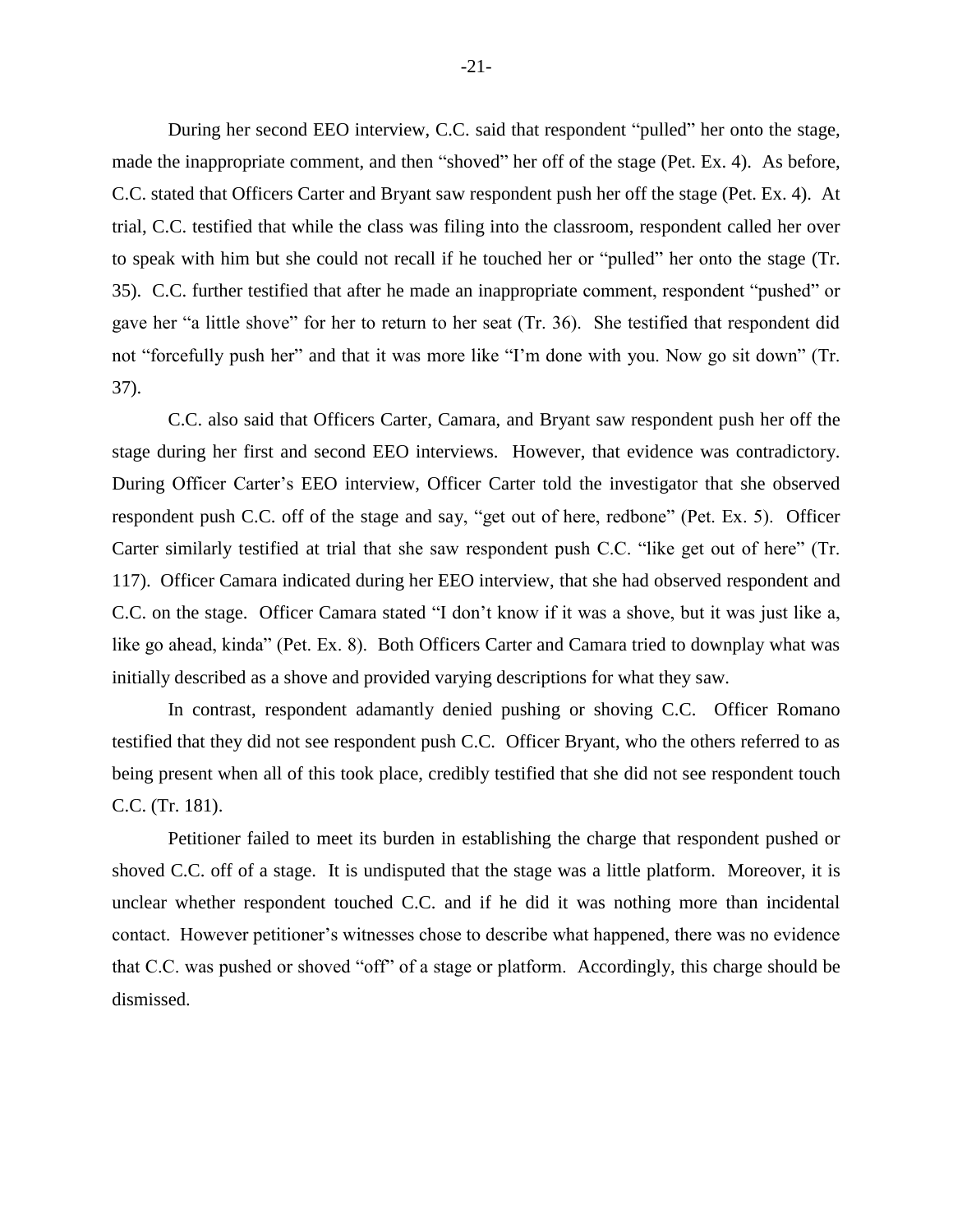During her second EEO interview, C.C. said that respondent "pulled" her onto the stage, made the inappropriate comment, and then "shoved" her off of the stage (Pet. Ex. 4). As before, C.C. stated that Officers Carter and Bryant saw respondent push her off the stage (Pet. Ex. 4). At trial, C.C. testified that while the class was filing into the classroom, respondent called her over to speak with him but she could not recall if he touched her or "pulled" her onto the stage (Tr. 35). C.C. further testified that after he made an inappropriate comment, respondent "pushed" or gave her "a little shove" for her to return to her seat (Tr. 36). She testified that respondent did not "forcefully push her" and that it was more like "I'm done with you. Now go sit down" (Tr. 37).

C.C. also said that Officers Carter, Camara, and Bryant saw respondent push her off the stage during her first and second EEO interviews. However, that evidence was contradictory. During Officer Carter's EEO interview, Officer Carter told the investigator that she observed respondent push C.C. off of the stage and say, "get out of here, redbone" (Pet. Ex. 5). Officer Carter similarly testified at trial that she saw respondent push C.C. "like get out of here" (Tr. 117). Officer Camara indicated during her EEO interview, that she had observed respondent and C.C. on the stage. Officer Camara stated "I don't know if it was a shove, but it was just like a, like go ahead, kinda" (Pet. Ex. 8). Both Officers Carter and Camara tried to downplay what was initially described as a shove and provided varying descriptions for what they saw.

In contrast, respondent adamantly denied pushing or shoving C.C. Officer Romano testified that they did not see respondent push C.C. Officer Bryant, who the others referred to as being present when all of this took place, credibly testified that she did not see respondent touch C.C. (Tr. 181).

Petitioner failed to meet its burden in establishing the charge that respondent pushed or shoved C.C. off of a stage. It is undisputed that the stage was a little platform. Moreover, it is unclear whether respondent touched C.C. and if he did it was nothing more than incidental contact. However petitioner's witnesses chose to describe what happened, there was no evidence that C.C. was pushed or shoved "off" of a stage or platform. Accordingly, this charge should be dismissed.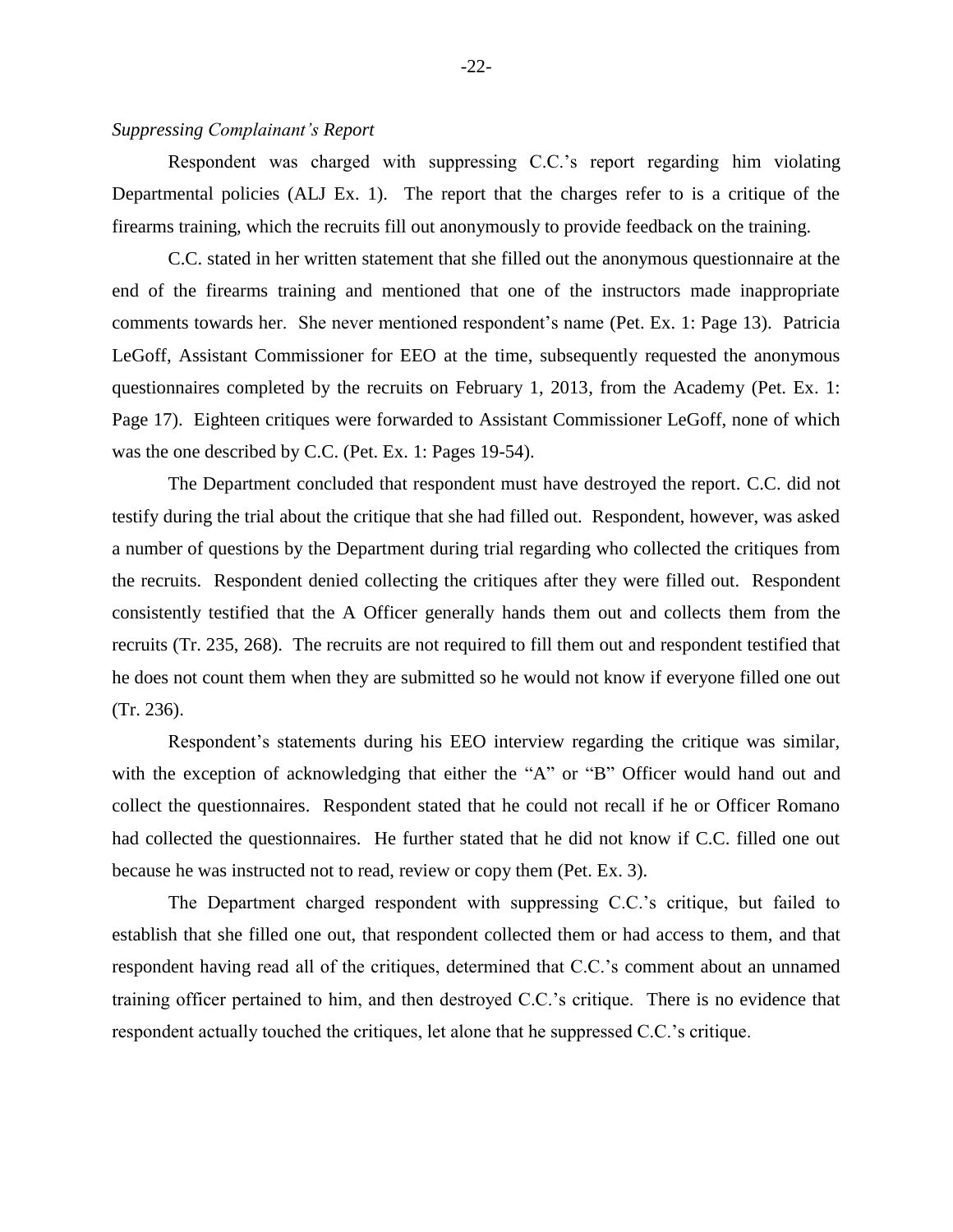# *Suppressing Complainant's Report*

Respondent was charged with suppressing C.C.'s report regarding him violating Departmental policies (ALJ Ex. 1). The report that the charges refer to is a critique of the firearms training, which the recruits fill out anonymously to provide feedback on the training.

C.C. stated in her written statement that she filled out the anonymous questionnaire at the end of the firearms training and mentioned that one of the instructors made inappropriate comments towards her. She never mentioned respondent's name (Pet. Ex. 1: Page 13). Patricia LeGoff, Assistant Commissioner for EEO at the time, subsequently requested the anonymous questionnaires completed by the recruits on February 1, 2013, from the Academy (Pet. Ex. 1: Page 17). Eighteen critiques were forwarded to Assistant Commissioner LeGoff, none of which was the one described by C.C. (Pet. Ex. 1: Pages 19-54).

The Department concluded that respondent must have destroyed the report. C.C. did not testify during the trial about the critique that she had filled out. Respondent, however, was asked a number of questions by the Department during trial regarding who collected the critiques from the recruits. Respondent denied collecting the critiques after they were filled out. Respondent consistently testified that the A Officer generally hands them out and collects them from the recruits (Tr. 235, 268). The recruits are not required to fill them out and respondent testified that he does not count them when they are submitted so he would not know if everyone filled one out (Tr. 236).

Respondent's statements during his EEO interview regarding the critique was similar, with the exception of acknowledging that either the "A" or "B" Officer would hand out and collect the questionnaires. Respondent stated that he could not recall if he or Officer Romano had collected the questionnaires. He further stated that he did not know if C.C. filled one out because he was instructed not to read, review or copy them (Pet. Ex. 3).

The Department charged respondent with suppressing C.C.'s critique, but failed to establish that she filled one out, that respondent collected them or had access to them, and that respondent having read all of the critiques, determined that C.C.'s comment about an unnamed training officer pertained to him, and then destroyed C.C.'s critique. There is no evidence that respondent actually touched the critiques, let alone that he suppressed C.C.'s critique.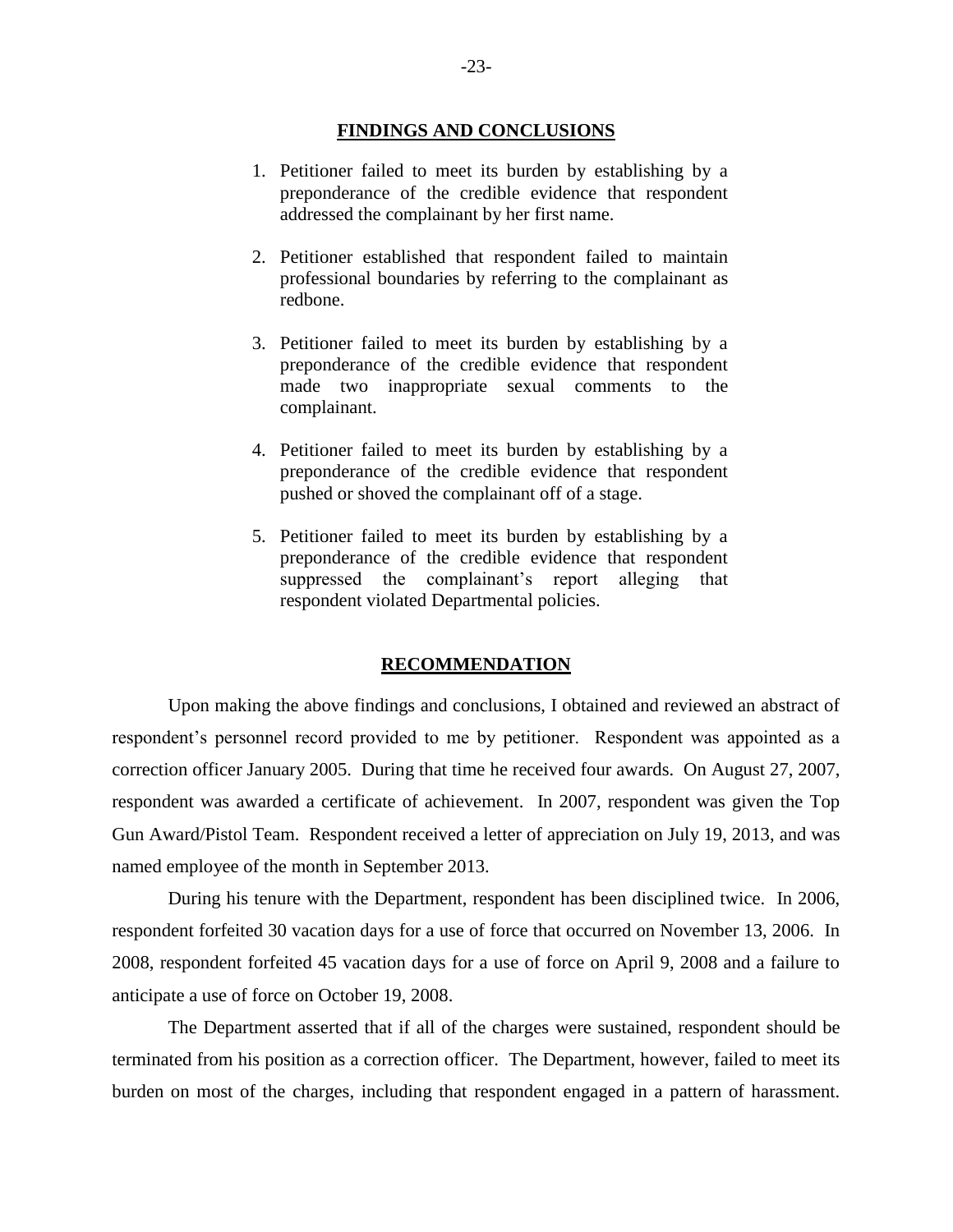#### **FINDINGS AND CONCLUSIONS**

- 1. Petitioner failed to meet its burden by establishing by a preponderance of the credible evidence that respondent addressed the complainant by her first name.
- 2. Petitioner established that respondent failed to maintain professional boundaries by referring to the complainant as redbone.
- 3. Petitioner failed to meet its burden by establishing by a preponderance of the credible evidence that respondent made two inappropriate sexual comments to the complainant.
- 4. Petitioner failed to meet its burden by establishing by a preponderance of the credible evidence that respondent pushed or shoved the complainant off of a stage.
- 5. Petitioner failed to meet its burden by establishing by a preponderance of the credible evidence that respondent suppressed the complainant's report alleging that respondent violated Departmental policies.

#### **RECOMMENDATION**

Upon making the above findings and conclusions, I obtained and reviewed an abstract of respondent's personnel record provided to me by petitioner. Respondent was appointed as a correction officer January 2005. During that time he received four awards. On August 27, 2007, respondent was awarded a certificate of achievement. In 2007, respondent was given the Top Gun Award/Pistol Team. Respondent received a letter of appreciation on July 19, 2013, and was named employee of the month in September 2013.

During his tenure with the Department, respondent has been disciplined twice. In 2006, respondent forfeited 30 vacation days for a use of force that occurred on November 13, 2006. In 2008, respondent forfeited 45 vacation days for a use of force on April 9, 2008 and a failure to anticipate a use of force on October 19, 2008.

The Department asserted that if all of the charges were sustained, respondent should be terminated from his position as a correction officer. The Department, however, failed to meet its burden on most of the charges, including that respondent engaged in a pattern of harassment.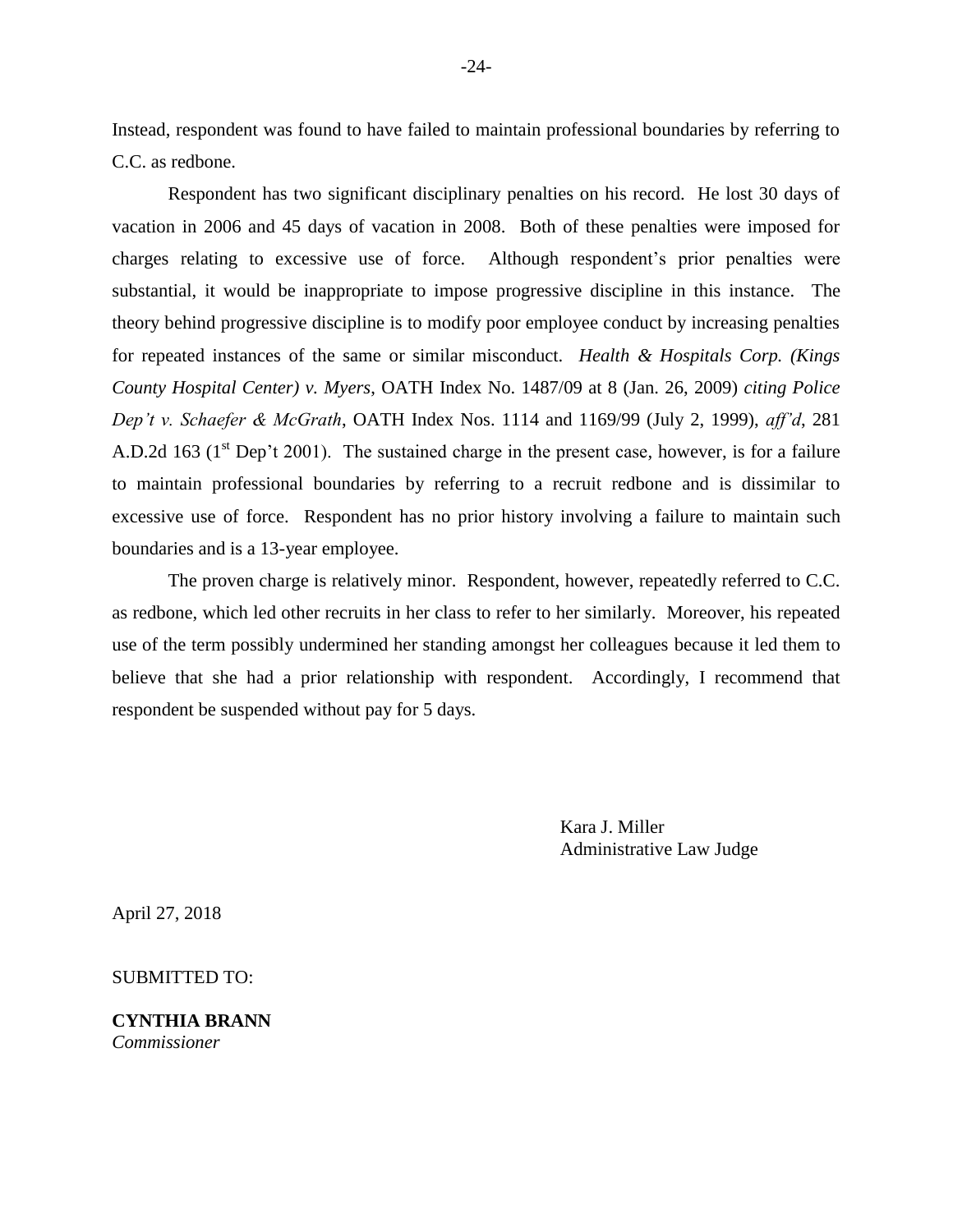Instead, respondent was found to have failed to maintain professional boundaries by referring to C.C. as redbone.

Respondent has two significant disciplinary penalties on his record. He lost 30 days of vacation in 2006 and 45 days of vacation in 2008. Both of these penalties were imposed for charges relating to excessive use of force. Although respondent's prior penalties were substantial, it would be inappropriate to impose progressive discipline in this instance. The theory behind progressive discipline is to modify poor employee conduct by increasing penalties for repeated instances of the same or similar misconduct. *Health & Hospitals Corp. (Kings County Hospital Center) v. Myers*, OATH Index No. 1487/09 at 8 (Jan. 26, 2009) *citing Police Dep't v. Schaefer & McGrath*, OATH Index Nos. 1114 and 1169/99 (July 2, 1999), *aff'd*, 281 A.D.2d 163 ( $1<sup>st</sup>$  Dep't 2001). The sustained charge in the present case, however, is for a failure to maintain professional boundaries by referring to a recruit redbone and is dissimilar to excessive use of force. Respondent has no prior history involving a failure to maintain such boundaries and is a 13-year employee.

The proven charge is relatively minor. Respondent, however, repeatedly referred to C.C. as redbone, which led other recruits in her class to refer to her similarly. Moreover, his repeated use of the term possibly undermined her standing amongst her colleagues because it led them to believe that she had a prior relationship with respondent. Accordingly, I recommend that respondent be suspended without pay for 5 days.

> Kara J. Miller Administrative Law Judge

April 27, 2018

SUBMITTED TO:

**CYNTHIA BRANN** *Commissioner*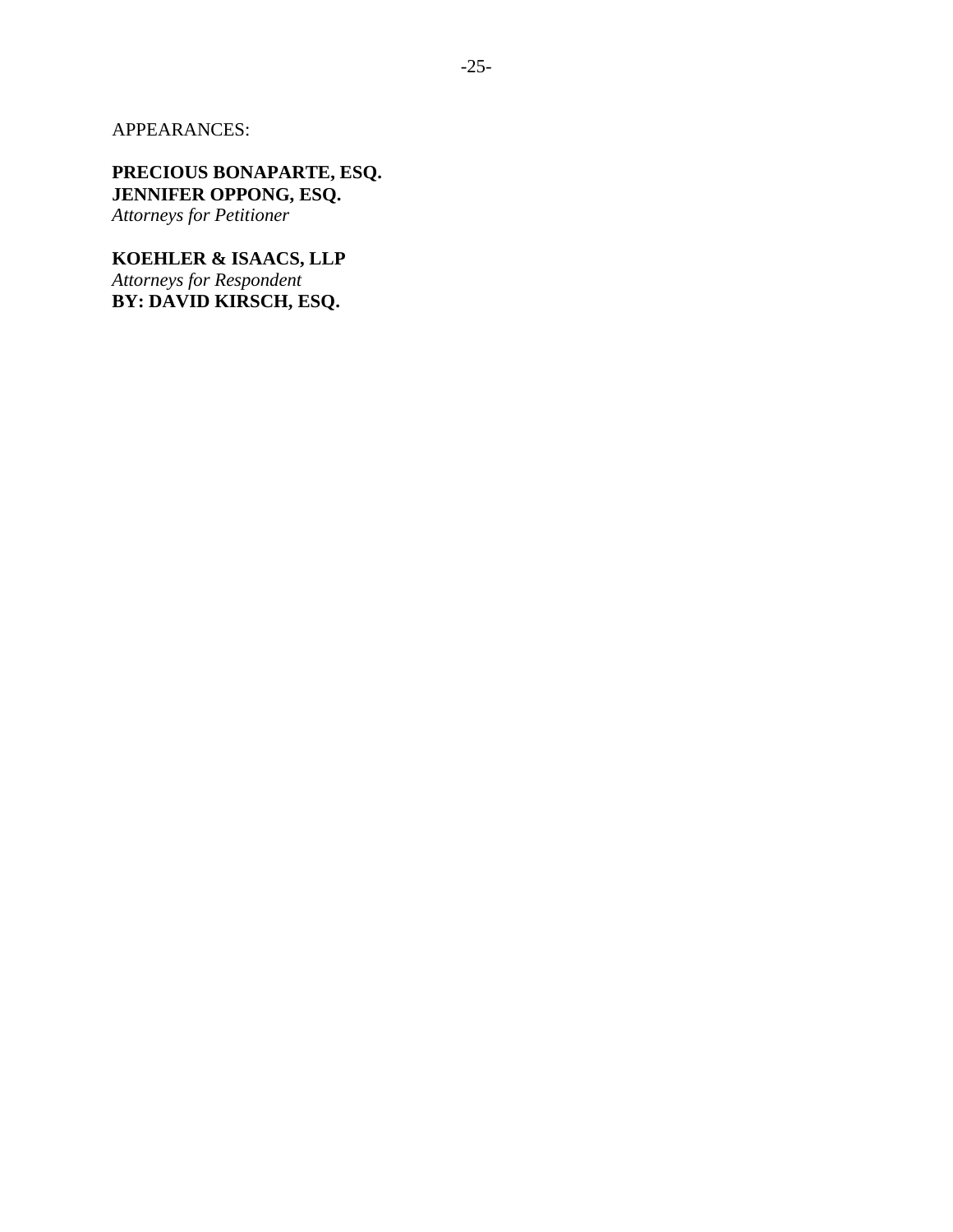APPEARANCES:

**PRECIOUS BONAPARTE, ESQ. JENNIFER OPPONG, ESQ.** *Attorneys for Petitioner*

**KOEHLER & ISAACS, LLP** *Attorneys for Respondent* **BY: DAVID KIRSCH, ESQ.**